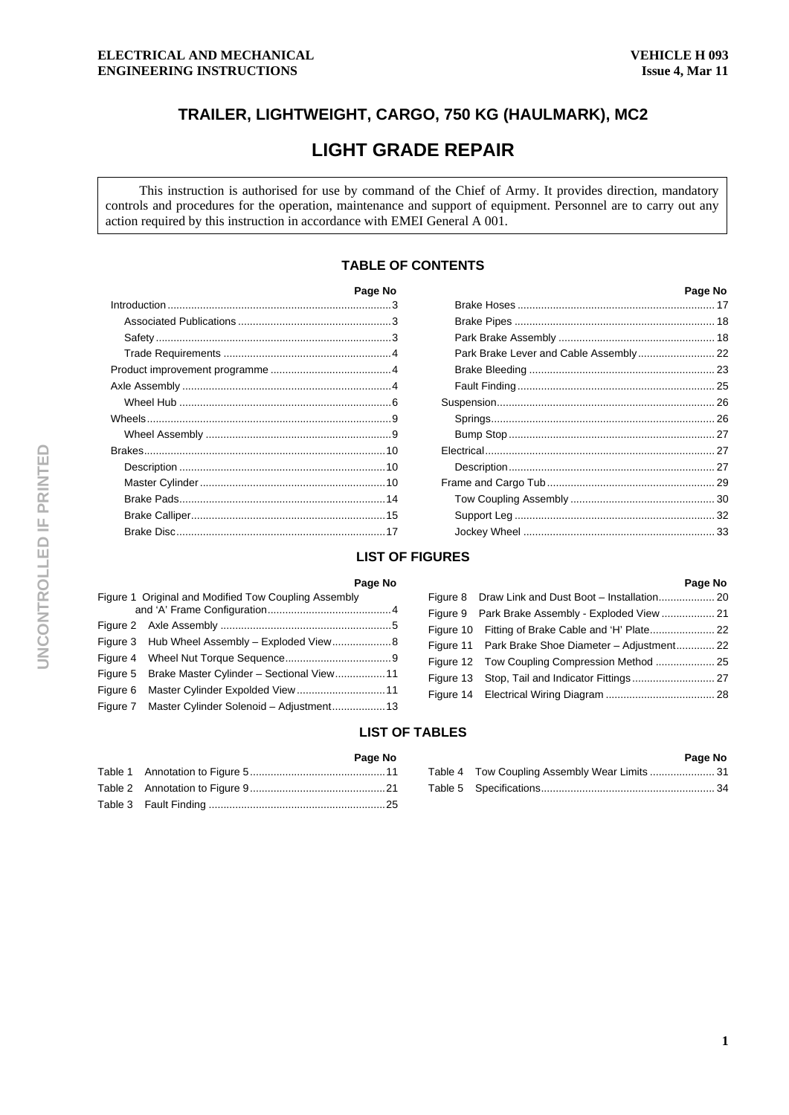### **TRAILER, LIGHTWEIGHT, CARGO, 750 KG (HAULMARK), MC2**

### **LIGHT GRADE REPAIR**

This instruction is authorised for use by command of the Chief of Army. It provides direction, mandatory controls and procedures for the operation, maintenance and support of equipment. Personnel are to carry out any action required by this instruction in accordance with EMEI General A 001.

#### **TABLE OF CONTENTS**

|  | rage No |
|--|---------|
|  |         |
|  |         |
|  |         |
|  |         |
|  |         |
|  |         |
|  |         |
|  |         |
|  |         |
|  |         |
|  |         |
|  |         |
|  |         |
|  |         |
|  |         |
|  |         |

| Page No |                                        | Page No |
|---------|----------------------------------------|---------|
| 3       |                                        |         |
| . 3     |                                        |         |
| 3       |                                        |         |
| . 4     | Park Brake Lever and Cable Assembly 22 |         |
| . 4     |                                        |         |
| 4       |                                        |         |
| . 6     |                                        |         |
| . 9     |                                        |         |
| . 9     |                                        |         |
| . 10    |                                        |         |
| 10      |                                        |         |
| . 10    |                                        |         |
| . 14    |                                        |         |
| . 15    |                                        |         |
| . 17    |                                        |         |

#### **LIST OF FIGURES**

| Figure 1 Original and Modified Tow Coupling Assembly |  |  |
|------------------------------------------------------|--|--|
|                                                      |  |  |
|                                                      |  |  |
|                                                      |  |  |
|                                                      |  |  |
|                                                      |  |  |
|                                                      |  |  |

| Page No |                                                    | Page No |
|---------|----------------------------------------------------|---------|
| l٧      |                                                    |         |
| . 4     |                                                    |         |
| 5       |                                                    |         |
| . 8     | Figure 11 Park Brake Shoe Diameter - Adjustment 22 |         |
| . 9     |                                                    |         |
| . 11    |                                                    |         |
| 11      |                                                    |         |

#### **LIST OF TABLES**

#### **Page No Page No**

|                                               | Page No |
|-----------------------------------------------|---------|
| Table 4 Tow Coupling Assembly Wear Limits  31 |         |
|                                               |         |

| ٠ |  |  |
|---|--|--|
|   |  |  |
|   |  |  |
|   |  |  |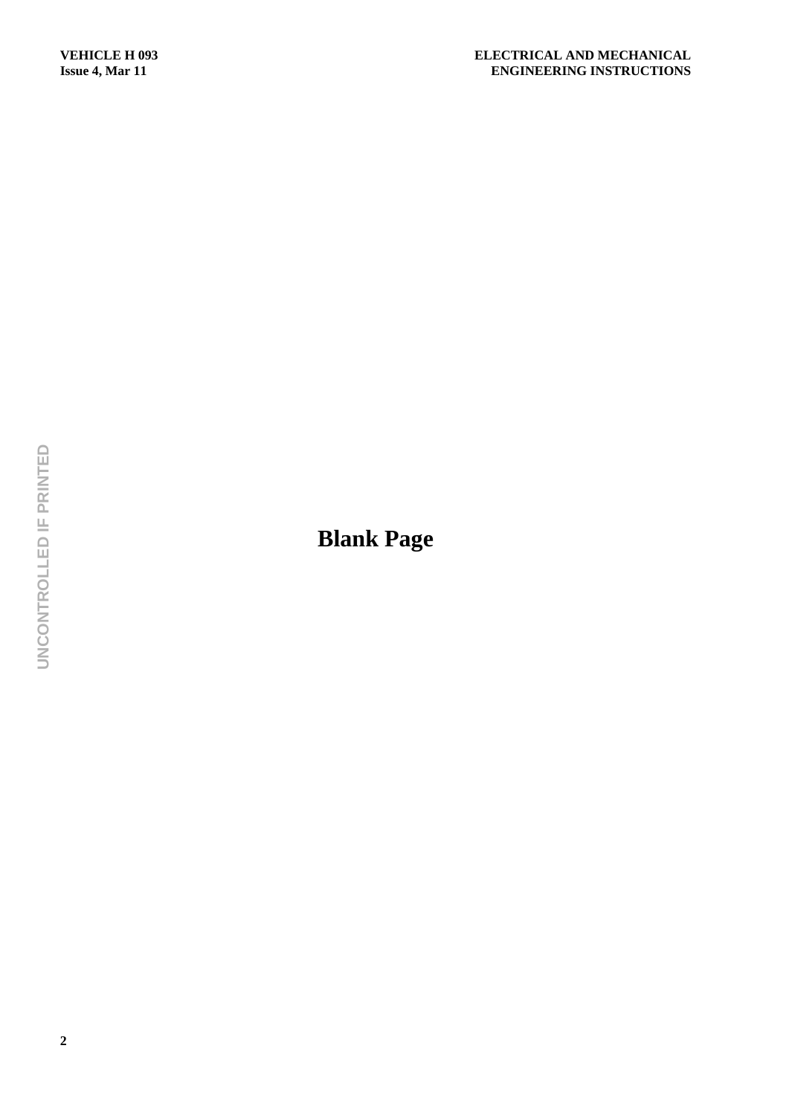## **Blank Page**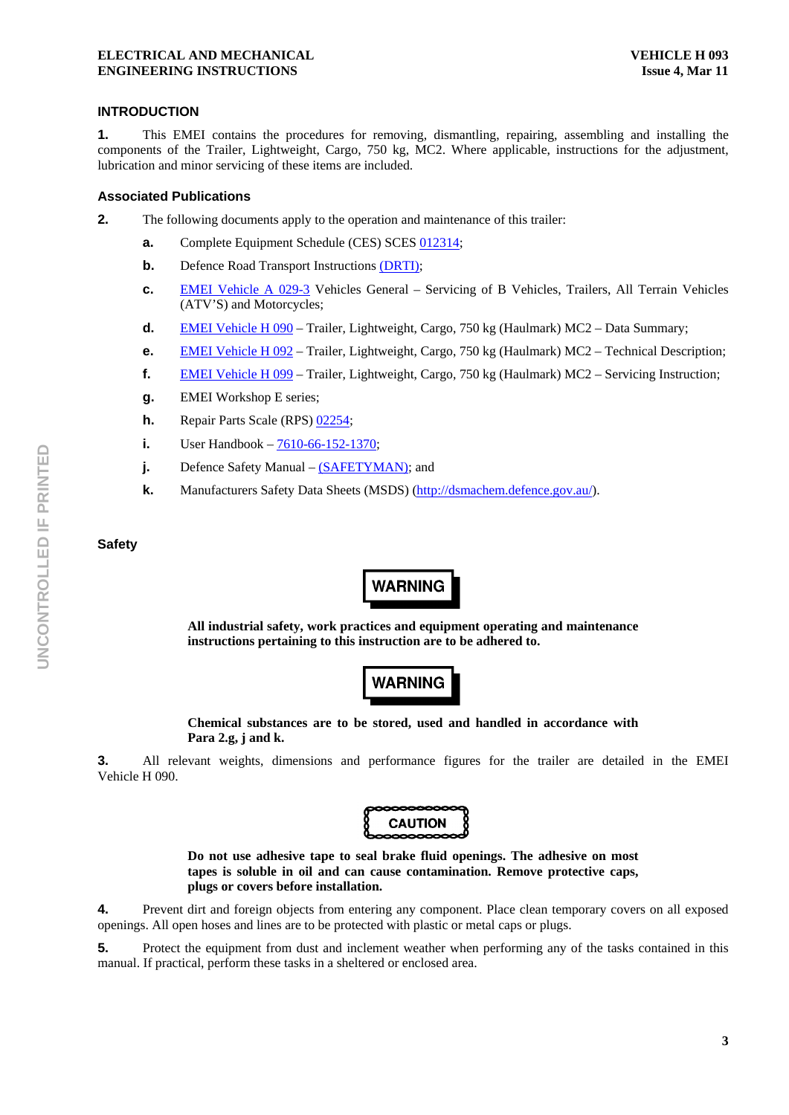#### **INTRODUCTION**

**1.** This EMEI contains the procedures for removing, dismantling, repairing, assembling and installing the components of the Trailer, Lightweight, Cargo, 750 kg, MC2. Where applicable, instructions for the adjustment, lubrication and minor servicing of these items are included.

#### **Associated Publications**

- **2.** The following documents apply to the operation and maintenance of this trailer:
	- **a.** Complete Equipment Schedule (CES) SCES 012314;
	- **b.** Defence Road Transport Instructions (DRTI);
	- **c.** EMEI Vehicle A 029-3 Vehicles General Servicing of B Vehicles, Trailers, All Terrain Vehicles (ATV'S) and Motorcycles;
	- **d.** EMEI Vehicle H 090 Trailer, Lightweight, Cargo, 750 kg (Haulmark) MC2 Data Summary;
	- **e.** EMEI Vehicle H 092 Trailer, Lightweight, Cargo, 750 kg (Haulmark) MC2 Technical Description;
	- **f.** EMEI Vehicle H 099 Trailer, Lightweight, Cargo, 750 kg (Haulmark) MC2 Servicing Instruction;
	- **g.** EMEI Workshop E series;
	- **h.** Repair Parts Scale (RPS) 02254;
	- **i.** User Handbook 7610-66-152-1370;
	- **j.** Defence Safety Manual (SAFETYMAN); and
	- **k.** Manufacturers Safety Data Sheets (MSDS) (http://dsmachem.defence.gov.au/).

#### **Safety**

### **WARNING**

**All industrial safety, work practices and equipment operating and maintenance instructions pertaining to this instruction are to be adhered to.** 

**WARNING** 

**Chemical substances are to be stored, used and handled in accordance with Para 2.g, j and k.** 

**3.** All relevant weights, dimensions and performance figures for the trailer are detailed in the EMEI Vehicle H 090.



**Do not use adhesive tape to seal brake fluid openings. The adhesive on most tapes is soluble in oil and can cause contamination. Remove protective caps, plugs or covers before installation.** 

**4.** Prevent dirt and foreign objects from entering any component. Place clean temporary covers on all exposed openings. All open hoses and lines are to be protected with plastic or metal caps or plugs.

**5.** Protect the equipment from dust and inclement weather when performing any of the tasks contained in this manual. If practical, perform these tasks in a sheltered or enclosed area.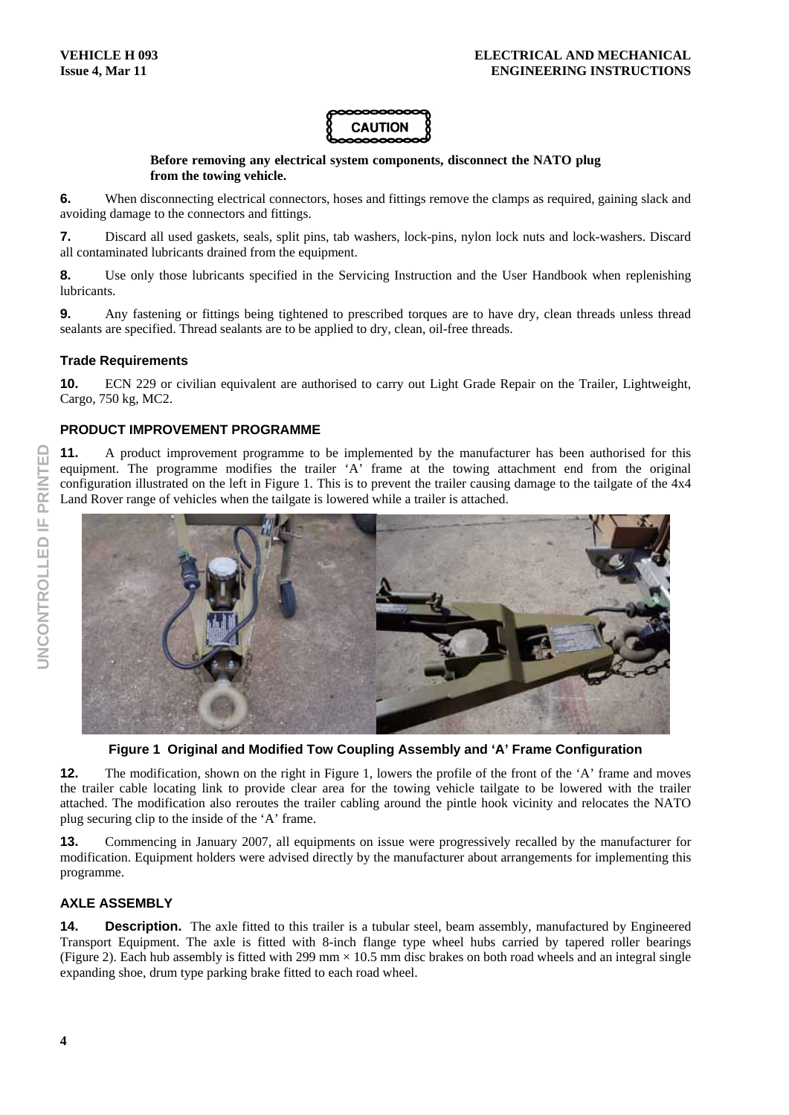

**Before removing any electrical system components, disconnect the NATO plug from the towing vehicle.** 

**6.** When disconnecting electrical connectors, hoses and fittings remove the clamps as required, gaining slack and avoiding damage to the connectors and fittings.

**7.** Discard all used gaskets, seals, split pins, tab washers, lock-pins, nylon lock nuts and lock-washers. Discard all contaminated lubricants drained from the equipment.

**8.** Use only those lubricants specified in the Servicing Instruction and the User Handbook when replenishing lubricants.

**9.** Any fastening or fittings being tightened to prescribed torques are to have dry, clean threads unless thread sealants are specified. Thread sealants are to be applied to dry, clean, oil-free threads.

#### **Trade Requirements**

**10.** ECN 229 or civilian equivalent are authorised to carry out Light Grade Repair on the Trailer, Lightweight, Cargo, 750 kg, MC2.

#### **PRODUCT IMPROVEMENT PROGRAMME**

**11.** A product improvement programme to be implemented by the manufacturer has been authorised for this equipment. The programme modifies the trailer 'A' frame at the towing attachment end from the original configuration illustrated on the left in Figure 1. This is to prevent the trailer causing damage to the tailgate of the 4x4 Land Rover range of vehicles when the tailgate is lowered while a trailer is attached.



**Figure 1 Original and Modified Tow Coupling Assembly and 'A' Frame Configuration** 

**12.** The modification, shown on the right in Figure 1, lowers the profile of the front of the 'A' frame and moves the trailer cable locating link to provide clear area for the towing vehicle tailgate to be lowered with the trailer attached. The modification also reroutes the trailer cabling around the pintle hook vicinity and relocates the NATO plug securing clip to the inside of the 'A' frame.

**13.** Commencing in January 2007, all equipments on issue were progressively recalled by the manufacturer for modification. Equipment holders were advised directly by the manufacturer about arrangements for implementing this programme.

#### **AXLE ASSEMBLY**

**14. Description.** The axle fitted to this trailer is a tubular steel, beam assembly, manufactured by Engineered Transport Equipment. The axle is fitted with 8-inch flange type wheel hubs carried by tapered roller bearings (Figure 2). Each hub assembly is fitted with 299 mm  $\times$  10.5 mm disc brakes on both road wheels and an integral single expanding shoe, drum type parking brake fitted to each road wheel.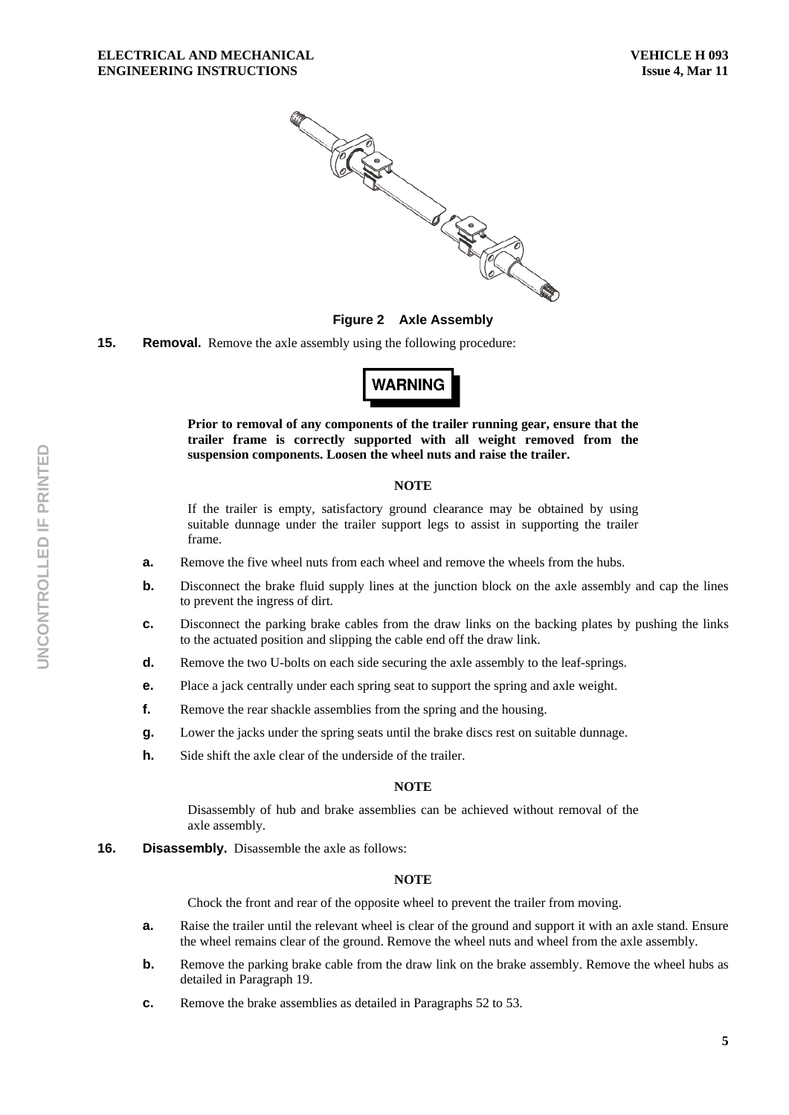

**Figure 2 Axle Assembly** 

**15. Removal.** Remove the axle assembly using the following procedure:



**Prior to removal of any components of the trailer running gear, ensure that the trailer frame is correctly supported with all weight removed from the suspension components. Loosen the wheel nuts and raise the trailer.** 

#### **NOTE**

If the trailer is empty, satisfactory ground clearance may be obtained by using suitable dunnage under the trailer support legs to assist in supporting the trailer frame.

- **a.** Remove the five wheel nuts from each wheel and remove the wheels from the hubs.
- **b.** Disconnect the brake fluid supply lines at the junction block on the axle assembly and cap the lines to prevent the ingress of dirt.
- **c.** Disconnect the parking brake cables from the draw links on the backing plates by pushing the links to the actuated position and slipping the cable end off the draw link.
- **d.** Remove the two U-bolts on each side securing the axle assembly to the leaf-springs.
- **e.** Place a jack centrally under each spring seat to support the spring and axle weight.
- **f.** Remove the rear shackle assemblies from the spring and the housing.
- **g.** Lower the jacks under the spring seats until the brake discs rest on suitable dunnage.
- **h.** Side shift the axle clear of the underside of the trailer.

#### **NOTE**

Disassembly of hub and brake assemblies can be achieved without removal of the axle assembly.

**16. Disassembly.** Disassemble the axle as follows:

#### **NOTE**

Chock the front and rear of the opposite wheel to prevent the trailer from moving.

- **a.** Raise the trailer until the relevant wheel is clear of the ground and support it with an axle stand. Ensure the wheel remains clear of the ground. Remove the wheel nuts and wheel from the axle assembly.
- **b.** Remove the parking brake cable from the draw link on the brake assembly. Remove the wheel hubs as detailed in Paragraph 19.
- **c.** Remove the brake assemblies as detailed in Paragraphs 52 to 53.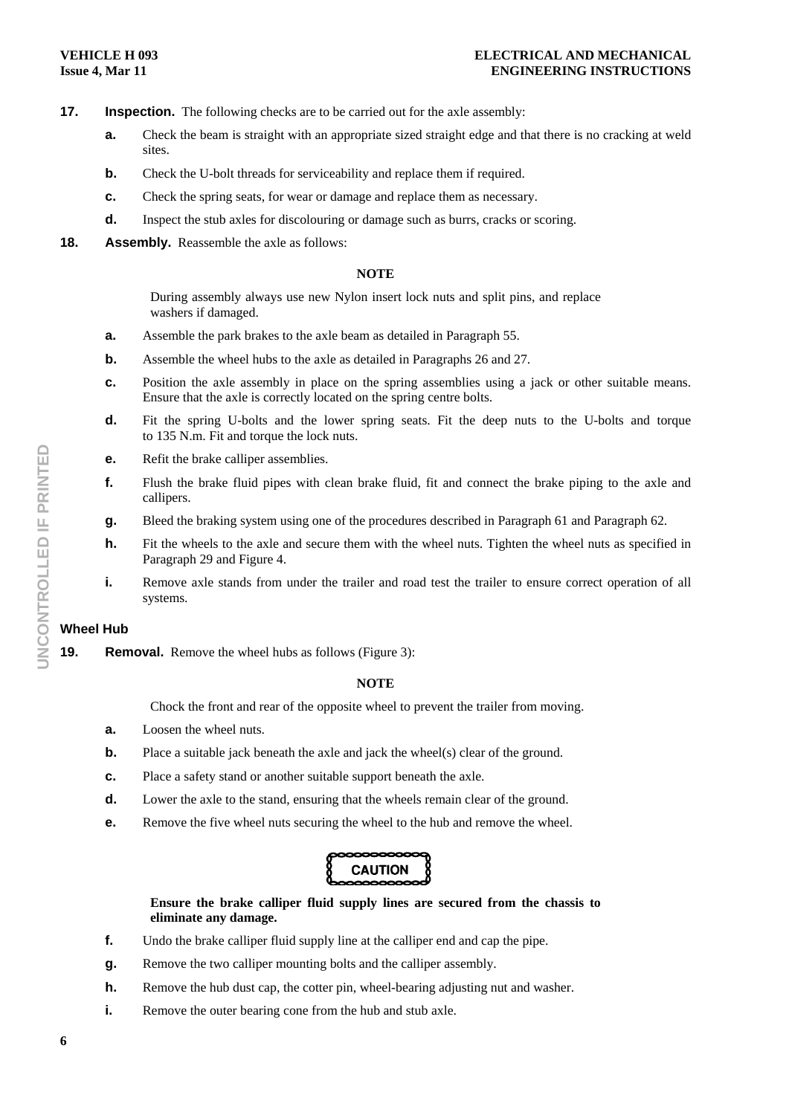- **17.** Inspection. The following checks are to be carried out for the axle assembly:
	- **a.** Check the beam is straight with an appropriate sized straight edge and that there is no cracking at weld sites.
	- **b.** Check the U-bolt threads for serviceability and replace them if required.
	- **c.** Check the spring seats, for wear or damage and replace them as necessary.
	- **d.** Inspect the stub axles for discolouring or damage such as burrs, cracks or scoring.
- **18. Assembly.** Reassemble the axle as follows:

#### **NOTE**

During assembly always use new Nylon insert lock nuts and split pins, and replace washers if damaged.

- **a.** Assemble the park brakes to the axle beam as detailed in Paragraph 55.
- **b.** Assemble the wheel hubs to the axle as detailed in Paragraphs 26 and 27.
- **c.** Position the axle assembly in place on the spring assemblies using a jack or other suitable means. Ensure that the axle is correctly located on the spring centre bolts.
- **d.** Fit the spring U-bolts and the lower spring seats. Fit the deep nuts to the U-bolts and torque to 135 N.m. Fit and torque the lock nuts.
- **e.** Refit the brake calliper assemblies.
- **f.** Flush the brake fluid pipes with clean brake fluid, fit and connect the brake piping to the axle and callipers.
- **g.** Bleed the braking system using one of the procedures described in Paragraph 61 and Paragraph 62.
- **h.** Fit the wheels to the axle and secure them with the wheel nuts. Tighten the wheel nuts as specified in Paragraph 29 and Figure 4.
- **i.** Remove axle stands from under the trailer and road test the trailer to ensure correct operation of all systems.

#### **Wheel Hub**

**19.** Removal. Remove the wheel hubs as follows (Figure 3):

#### **NOTE**

Chock the front and rear of the opposite wheel to prevent the trailer from moving.

- **a.** Loosen the wheel nuts.
- **b.** Place a suitable jack beneath the axle and jack the wheel(s) clear of the ground.
- **c.** Place a safety stand or another suitable support beneath the axle.
- **d.** Lower the axle to the stand, ensuring that the wheels remain clear of the ground.
- **e.** Remove the five wheel nuts securing the wheel to the hub and remove the wheel.

# **CAUTION**

**Ensure the brake calliper fluid supply lines are secured from the chassis to eliminate any damage.** 

- **f.** Undo the brake calliper fluid supply line at the calliper end and cap the pipe.
- **g.** Remove the two calliper mounting bolts and the calliper assembly.
- **h.** Remove the hub dust cap, the cotter pin, wheel-bearing adjusting nut and washer.
- **i.** Remove the outer bearing cone from the hub and stub axle.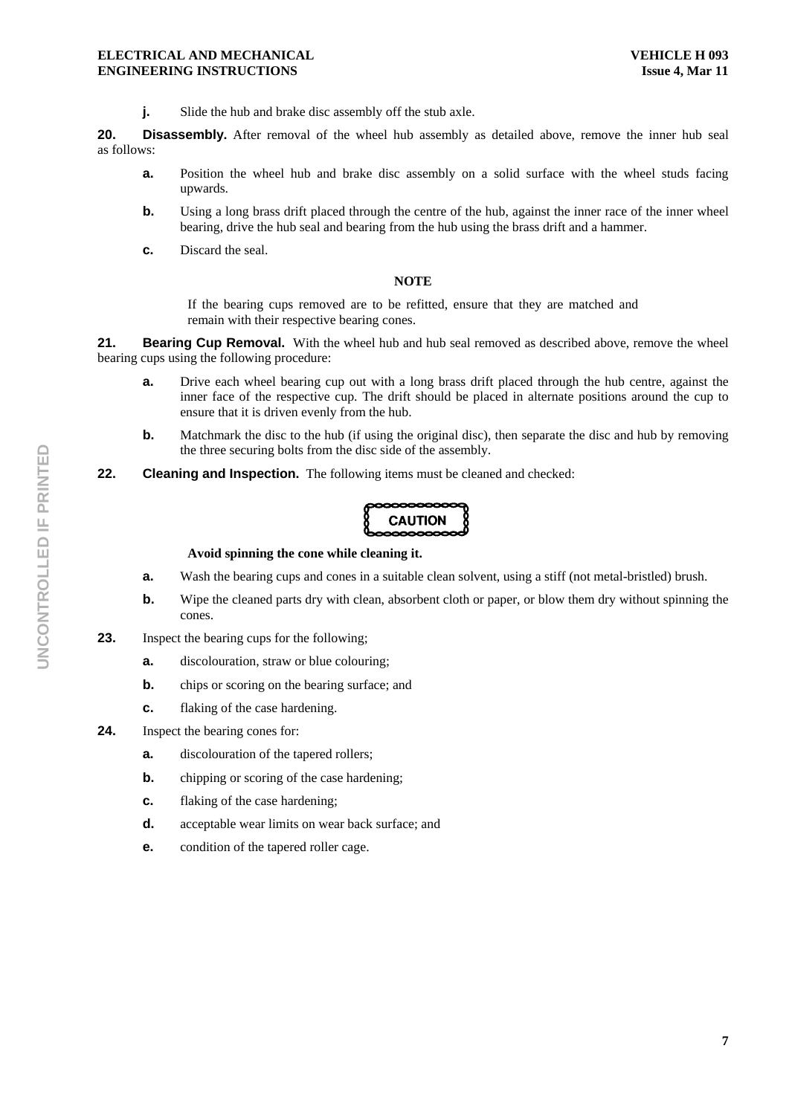**j.** Slide the hub and brake disc assembly off the stub axle.

20. **Disassembly.** After removal of the wheel hub assembly as detailed above, remove the inner hub seal as follows:

- **a.** Position the wheel hub and brake disc assembly on a solid surface with the wheel studs facing upwards.
- **b.** Using a long brass drift placed through the centre of the hub, against the inner race of the inner wheel bearing, drive the hub seal and bearing from the hub using the brass drift and a hammer.
- **c.** Discard the seal.

#### **NOTE**

If the bearing cups removed are to be refitted, ensure that they are matched and remain with their respective bearing cones.

**21.** Bearing Cup Removal. With the wheel hub and hub seal removed as described above, remove the wheel bearing cups using the following procedure:

- **a.** Drive each wheel bearing cup out with a long brass drift placed through the hub centre, against the inner face of the respective cup. The drift should be placed in alternate positions around the cup to ensure that it is driven evenly from the hub.
- **b.** Matchmark the disc to the hub (if using the original disc), then separate the disc and hub by removing the three securing bolts from the disc side of the assembly.
- **22. Cleaning and Inspection.**The following items must be cleaned and checked:



#### **Avoid spinning the cone while cleaning it.**

- **a.** Wash the bearing cups and cones in a suitable clean solvent, using a stiff (not metal-bristled) brush.
- **b.** Wipe the cleaned parts dry with clean, absorbent cloth or paper, or blow them dry without spinning the cones.
- **23.** Inspect the bearing cups for the following;
	- **a.** discolouration, straw or blue colouring;
	- **b.** chips or scoring on the bearing surface; and
	- **c.** flaking of the case hardening.
- **24.** Inspect the bearing cones for:
	- **a.** discolouration of the tapered rollers:
	- **b.** chipping or scoring of the case hardening;
	- **c.** flaking of the case hardening;
	- **d.** acceptable wear limits on wear back surface; and
	- **e.** condition of the tapered roller cage.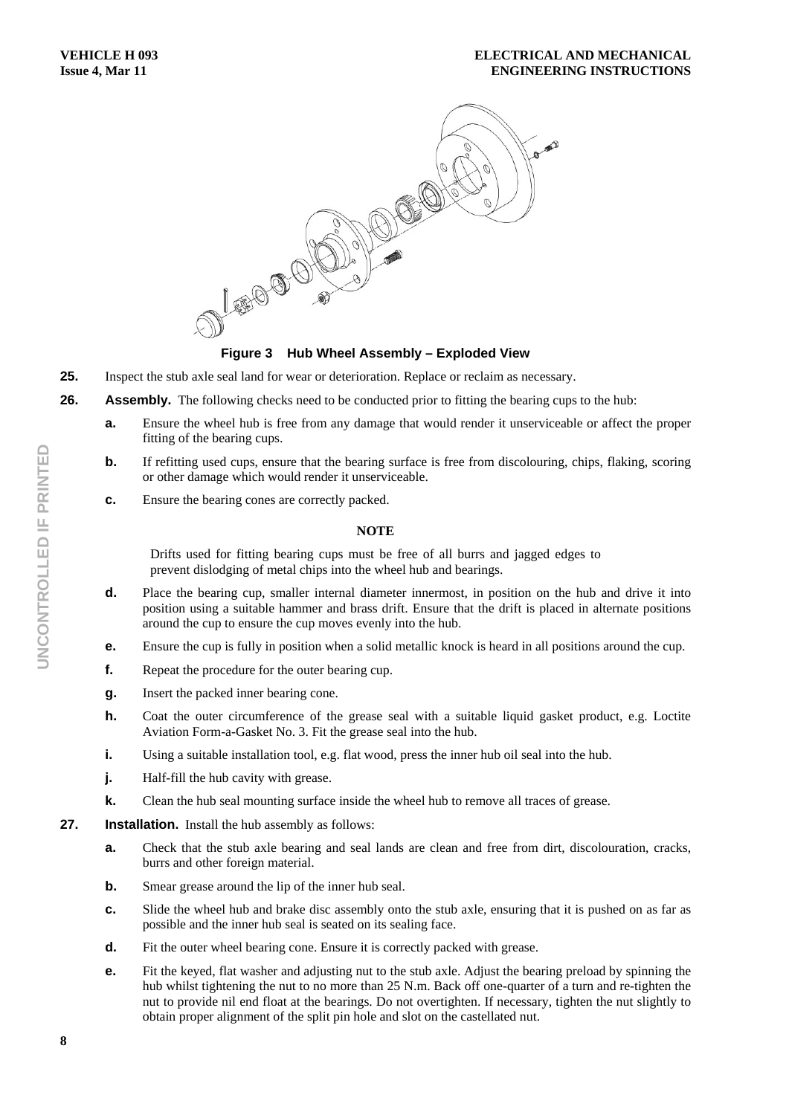

- **25.** Inspect the stub axle seal land for wear or deterioration. Replace or reclaim as necessary.
- **26.** Assembly. The following checks need to be conducted prior to fitting the bearing cups to the hub:
	- **a.** Ensure the wheel hub is free from any damage that would render it unserviceable or affect the proper fitting of the bearing cups.
	- **b.** If refitting used cups, ensure that the bearing surface is free from discolouring, chips, flaking, scoring or other damage which would render it unserviceable.
	- **c.** Ensure the bearing cones are correctly packed.

#### **NOTE**

Drifts used for fitting bearing cups must be free of all burrs and jagged edges to prevent dislodging of metal chips into the wheel hub and bearings.

- **d.** Place the bearing cup, smaller internal diameter innermost, in position on the hub and drive it into position using a suitable hammer and brass drift. Ensure that the drift is placed in alternate positions around the cup to ensure the cup moves evenly into the hub.
- **e.** Ensure the cup is fully in position when a solid metallic knock is heard in all positions around the cup.
- **f.** Repeat the procedure for the outer bearing cup.
- **g.** Insert the packed inner bearing cone.
- **h.** Coat the outer circumference of the grease seal with a suitable liquid gasket product, e.g. Loctite Aviation Form-a-Gasket No. 3. Fit the grease seal into the hub.
- **i.** Using a suitable installation tool, e.g. flat wood, press the inner hub oil seal into the hub.
- **j.** Half-fill the hub cavity with grease.
- **k.** Clean the hub seal mounting surface inside the wheel hub to remove all traces of grease.
- **27. Installation.**Install the hub assembly as follows:
	- **a.** Check that the stub axle bearing and seal lands are clean and free from dirt, discolouration, cracks, burrs and other foreign material.
	- **b.** Smear grease around the lip of the inner hub seal.
	- **c.** Slide the wheel hub and brake disc assembly onto the stub axle, ensuring that it is pushed on as far as possible and the inner hub seal is seated on its sealing face.
	- **d.** Fit the outer wheel bearing cone. Ensure it is correctly packed with grease.
	- **e.** Fit the keyed, flat washer and adjusting nut to the stub axle. Adjust the bearing preload by spinning the hub whilst tightening the nut to no more than 25 N.m. Back off one-quarter of a turn and re-tighten the nut to provide nil end float at the bearings. Do not overtighten. If necessary, tighten the nut slightly to obtain proper alignment of the split pin hole and slot on the castellated nut.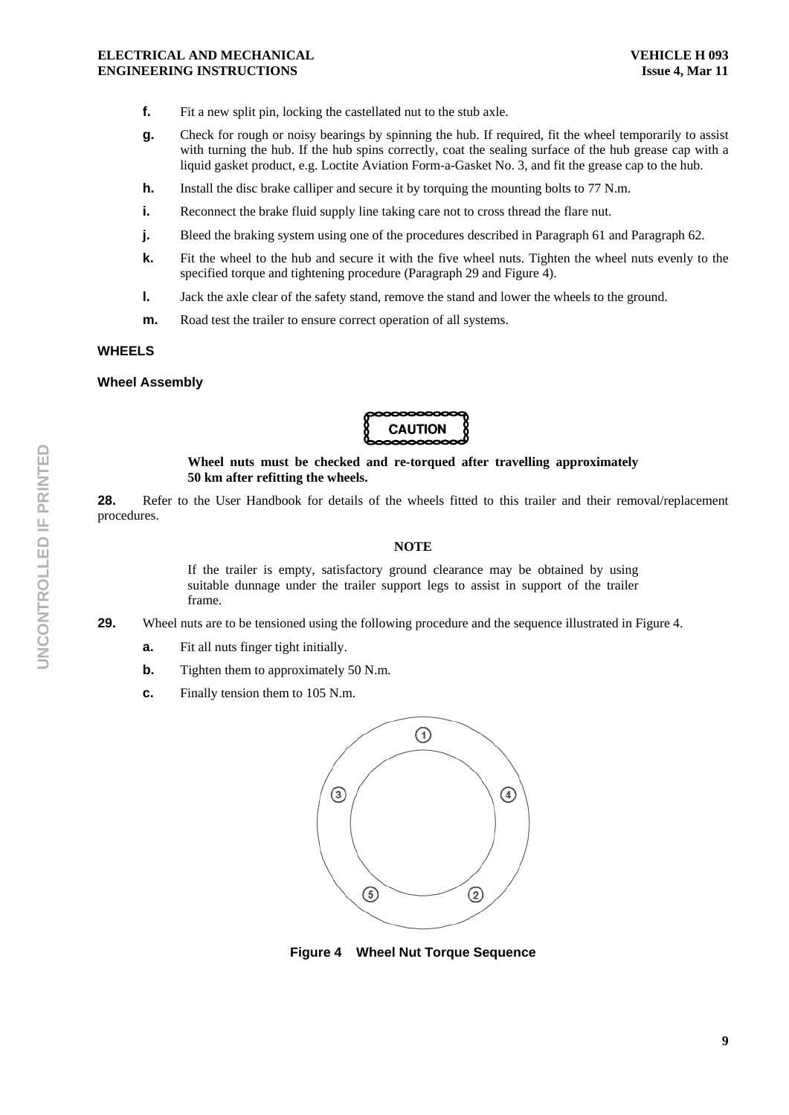- **f.** Fit a new split pin, locking the castellated nut to the stub axle.
- **g.** Check for rough or noisy bearings by spinning the hub. If required, fit the wheel temporarily to assist with turning the hub. If the hub spins correctly, coat the sealing surface of the hub grease cap with a liquid gasket product, e.g. Loctite Aviation Form-a-Gasket No. 3, and fit the grease cap to the hub.
- **h.** Install the disc brake calliper and secure it by torquing the mounting bolts to 77 N.m.
- **i.** Reconnect the brake fluid supply line taking care not to cross thread the flare nut.
- **j.** Bleed the braking system using one of the procedures described in Paragraph 61 and Paragraph 62.
- **k.** Fit the wheel to the hub and secure it with the five wheel nuts. Tighten the wheel nuts evenly to the specified torque and tightening procedure (Paragraph 29 and Figure 4).
- **l.** Jack the axle clear of the safety stand, remove the stand and lower the wheels to the ground.
- **m.** Road test the trailer to ensure correct operation of all systems.

#### **WHEELS**

#### **Wheel Assembly**



#### **Wheel nuts must be checked and re-torqued after travelling approximately 50 km after refitting the wheels.**

28. Refer to the User Handbook for details of the wheels fitted to this trailer and their removal/replacement procedures.

#### **NOTE**

If the trailer is empty, satisfactory ground clearance may be obtained by using suitable dunnage under the trailer support legs to assist in support of the trailer frame.

- **29.** Wheel nuts are to be tensioned using the following procedure and the sequence illustrated in Figure 4.
	- **a.** Fit all nuts finger tight initially.
	- **b.** Tighten them to approximately 50 N.m.
	- **c.** Finally tension them to 105 N.m.



**Figure 4 Wheel Nut Torque Sequence**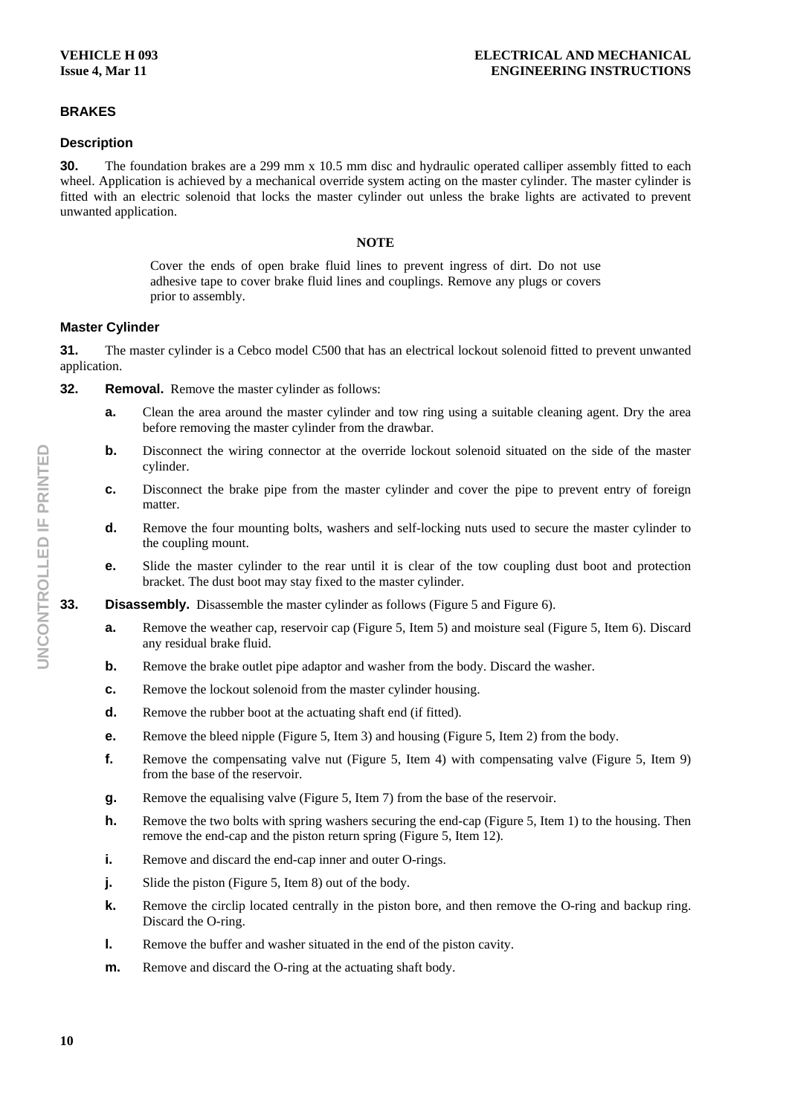#### **BRAKES**

#### **Description**

**30.** The foundation brakes are a 299 mm x 10.5 mm disc and hydraulic operated calliper assembly fitted to each wheel. Application is achieved by a mechanical override system acting on the master cylinder. The master cylinder is fitted with an electric solenoid that locks the master cylinder out unless the brake lights are activated to prevent unwanted application.

#### **NOTE**

Cover the ends of open brake fluid lines to prevent ingress of dirt. Do not use adhesive tape to cover brake fluid lines and couplings. Remove any plugs or covers prior to assembly.

#### **Master Cylinder**

**31.** The master cylinder is a Cebco model C500 that has an electrical lockout solenoid fitted to prevent unwanted application.

- **32.** Removal. Remove the master cylinder as follows:
	- **a.** Clean the area around the master cylinder and tow ring using a suitable cleaning agent. Dry the area before removing the master cylinder from the drawbar.
	- **b.** Disconnect the wiring connector at the override lockout solenoid situated on the side of the master cylinder.
	- **c.** Disconnect the brake pipe from the master cylinder and cover the pipe to prevent entry of foreign matter.
	- **d.** Remove the four mounting bolts, washers and self-locking nuts used to secure the master cylinder to the coupling mount.
	- **e.** Slide the master cylinder to the rear until it is clear of the tow coupling dust boot and protection bracket. The dust boot may stay fixed to the master cylinder.

**33. Disassembly.** Disassemble the master cylinder as follows (Figure 5 and Figure 6).

- **a.** Remove the weather cap, reservoir cap (Figure 5, Item 5) and moisture seal (Figure 5, Item 6). Discard any residual brake fluid.
- **b.** Remove the brake outlet pipe adaptor and washer from the body. Discard the washer.
- **c.** Remove the lockout solenoid from the master cylinder housing.
- **d.** Remove the rubber boot at the actuating shaft end (if fitted).
- **e.** Remove the bleed nipple (Figure 5, Item 3) and housing (Figure 5, Item 2) from the body.
- **f.** Remove the compensating valve nut (Figure 5, Item 4) with compensating valve (Figure 5, Item 9) from the base of the reservoir.
- **g.** Remove the equalising valve (Figure 5, Item 7) from the base of the reservoir.
- **h.** Remove the two bolts with spring washers securing the end-cap (Figure 5, Item 1) to the housing. Then remove the end-cap and the piston return spring (Figure 5, Item 12).
- **i.** Remove and discard the end-cap inner and outer O-rings.
- **j.** Slide the piston (Figure 5, Item 8) out of the body.
- **k.** Remove the circlip located centrally in the piston bore, and then remove the O-ring and backup ring. Discard the O-ring.
- **l.** Remove the buffer and washer situated in the end of the piston cavity.
- **m.** Remove and discard the O-ring at the actuating shaft body.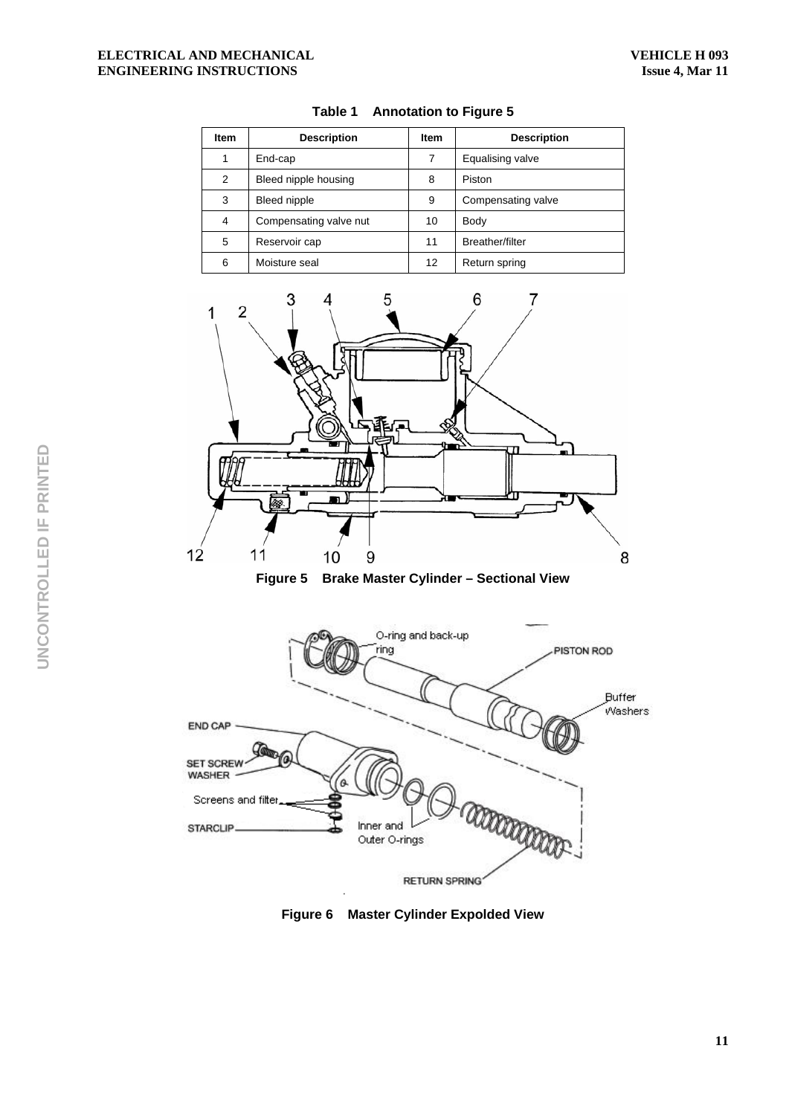| <b>Item</b> | <b>Description</b>     | Item | <b>Description</b>     |
|-------------|------------------------|------|------------------------|
|             | End-cap                | 7    | Equalising valve       |
| 2           | Bleed nipple housing   | 8    | Piston                 |
| 3           | Bleed nipple           | 9    | Compensating valve     |
| 4           | Compensating valve nut | 10   | Body                   |
| 5           | Reservoir cap          | 11   | <b>Breather/filter</b> |
| 6           | Moisture seal          | 12   | Return spring          |





**Figure 5 Brake Master Cylinder – Sectional View** 



**Figure 6 Master Cylinder Expolded View**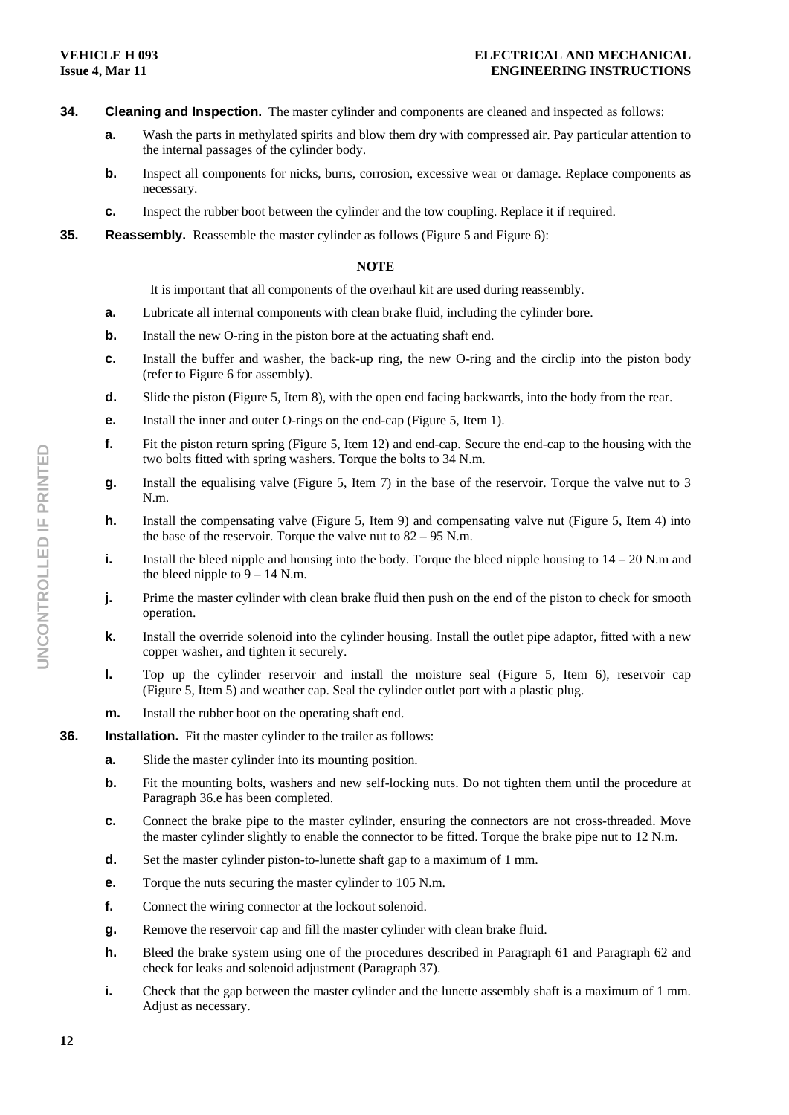- **34. Cleaning and Inspection.** The master cylinder and components are cleaned and inspected as follows:
	- **a.** Wash the parts in methylated spirits and blow them dry with compressed air. Pay particular attention to the internal passages of the cylinder body.
	- **b.** Inspect all components for nicks, burrs, corrosion, excessive wear or damage. Replace components as necessary.
	- **c.** Inspect the rubber boot between the cylinder and the tow coupling. Replace it if required.
- **35.** Reassembly. Reassemble the master cylinder as follows (Figure 5 and Figure 6):

#### **NOTE**

It is important that all components of the overhaul kit are used during reassembly.

- **a.** Lubricate all internal components with clean brake fluid, including the cylinder bore.
- **b.** Install the new O-ring in the piston bore at the actuating shaft end.
- **c.** Install the buffer and washer, the back-up ring, the new O-ring and the circlip into the piston body (refer to Figure 6 for assembly).
- **d.** Slide the piston (Figure 5, Item 8), with the open end facing backwards, into the body from the rear.
- **e.** Install the inner and outer O-rings on the end-cap (Figure 5, Item 1).
- **f.** Fit the piston return spring (Figure 5, Item 12) and end-cap. Secure the end-cap to the housing with the two bolts fitted with spring washers. Torque the bolts to 34 N.m.
- **g.** Install the equalising valve (Figure 5, Item 7) in the base of the reservoir. Torque the valve nut to 3 N.m.
- **h.** Install the compensating valve (Figure 5, Item 9) and compensating valve nut (Figure 5, Item 4) into the base of the reservoir. Torque the valve nut to  $82 - 95$  N.m.
- **i.** Install the bleed nipple and housing into the body. Torque the bleed nipple housing to  $14 20$  N.m and the bleed nipple to  $9 - 14$  N.m.
- **j.** Prime the master cylinder with clean brake fluid then push on the end of the piston to check for smooth operation.
- **k.** Install the override solenoid into the cylinder housing. Install the outlet pipe adaptor, fitted with a new copper washer, and tighten it securely.
- **l.** Top up the cylinder reservoir and install the moisture seal (Figure 5, Item 6), reservoir cap (Figure 5, Item 5) and weather cap. Seal the cylinder outlet port with a plastic plug.
- **m.** Install the rubber boot on the operating shaft end.
- **36.** Installation. Fit the master cylinder to the trailer as follows:
	- **a.** Slide the master cylinder into its mounting position.
	- **b.** Fit the mounting bolts, washers and new self-locking nuts. Do not tighten them until the procedure at Paragraph 36.e has been completed.
	- **c.** Connect the brake pipe to the master cylinder, ensuring the connectors are not cross-threaded. Move the master cylinder slightly to enable the connector to be fitted. Torque the brake pipe nut to 12 N.m.
	- **d.** Set the master cylinder piston-to-lunette shaft gap to a maximum of 1 mm.
	- **e.** Torque the nuts securing the master cylinder to 105 N.m.
	- **f.** Connect the wiring connector at the lockout solenoid.
	- **g.** Remove the reservoir cap and fill the master cylinder with clean brake fluid.
	- **h.** Bleed the brake system using one of the procedures described in Paragraph 61 and Paragraph 62 and check for leaks and solenoid adjustment (Paragraph 37).
	- **i.** Check that the gap between the master cylinder and the lunette assembly shaft is a maximum of 1 mm. Adjust as necessary.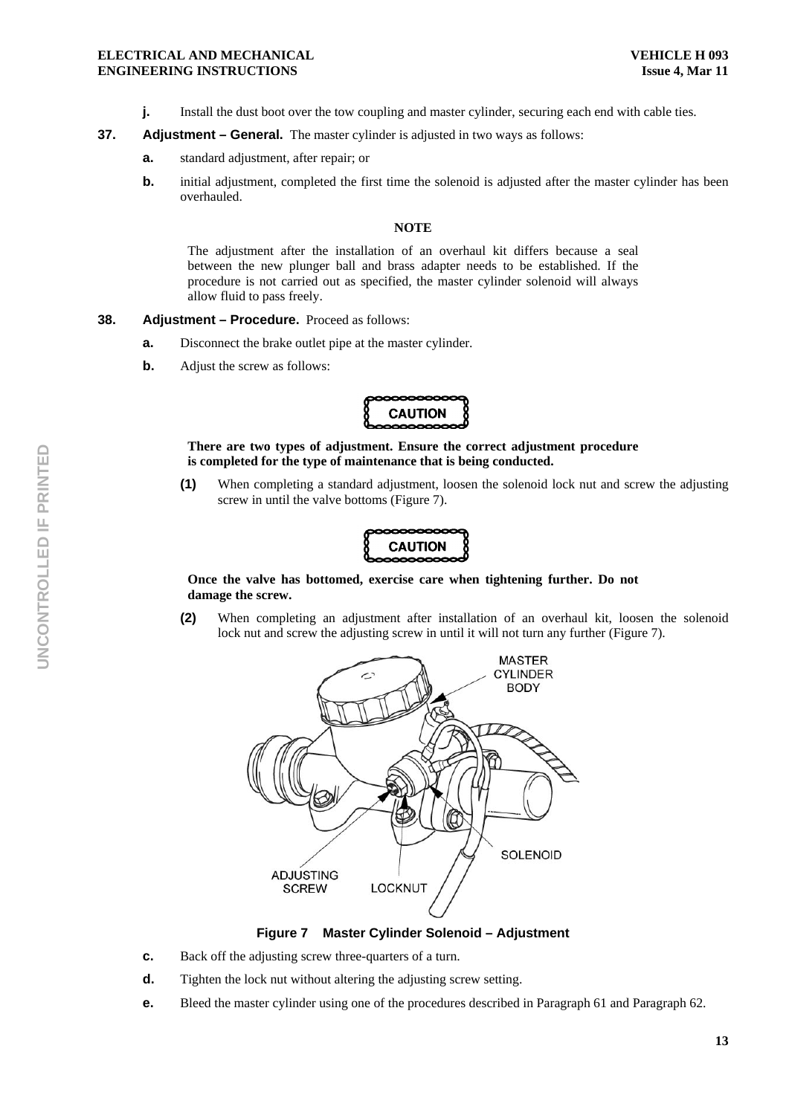- **j.** Install the dust boot over the tow coupling and master cylinder, securing each end with cable ties.
- **37. Adjustment General.** The master cylinder is adjusted in two ways as follows:
	- **a.** standard adjustment, after repair; or
	- **b.** initial adjustment, completed the first time the solenoid is adjusted after the master cylinder has been overhauled.

#### **NOTE**

The adjustment after the installation of an overhaul kit differs because a seal between the new plunger ball and brass adapter needs to be established. If the procedure is not carried out as specified, the master cylinder solenoid will always allow fluid to pass freely.

#### **38. Adjustment – Procedure.** Proceed as follows:

- **a.** Disconnect the brake outlet pipe at the master cylinder.
- **b.** Adjust the screw as follows:



**There are two types of adjustment. Ensure the correct adjustment procedure is completed for the type of maintenance that is being conducted.** 

**(1)** When completing a standard adjustment, loosen the solenoid lock nut and screw the adjusting screw in until the valve bottoms (Figure 7).



**Once the valve has bottomed, exercise care when tightening further. Do not damage the screw.** 

**(2)** When completing an adjustment after installation of an overhaul kit, loosen the solenoid lock nut and screw the adjusting screw in until it will not turn any further (Figure 7).



**Figure 7 Master Cylinder Solenoid – Adjustment** 

- **c.** Back off the adjusting screw three-quarters of a turn.
- **d.** Tighten the lock nut without altering the adjusting screw setting.
- **e.** Bleed the master cylinder using one of the procedures described in Paragraph 61 and Paragraph 62.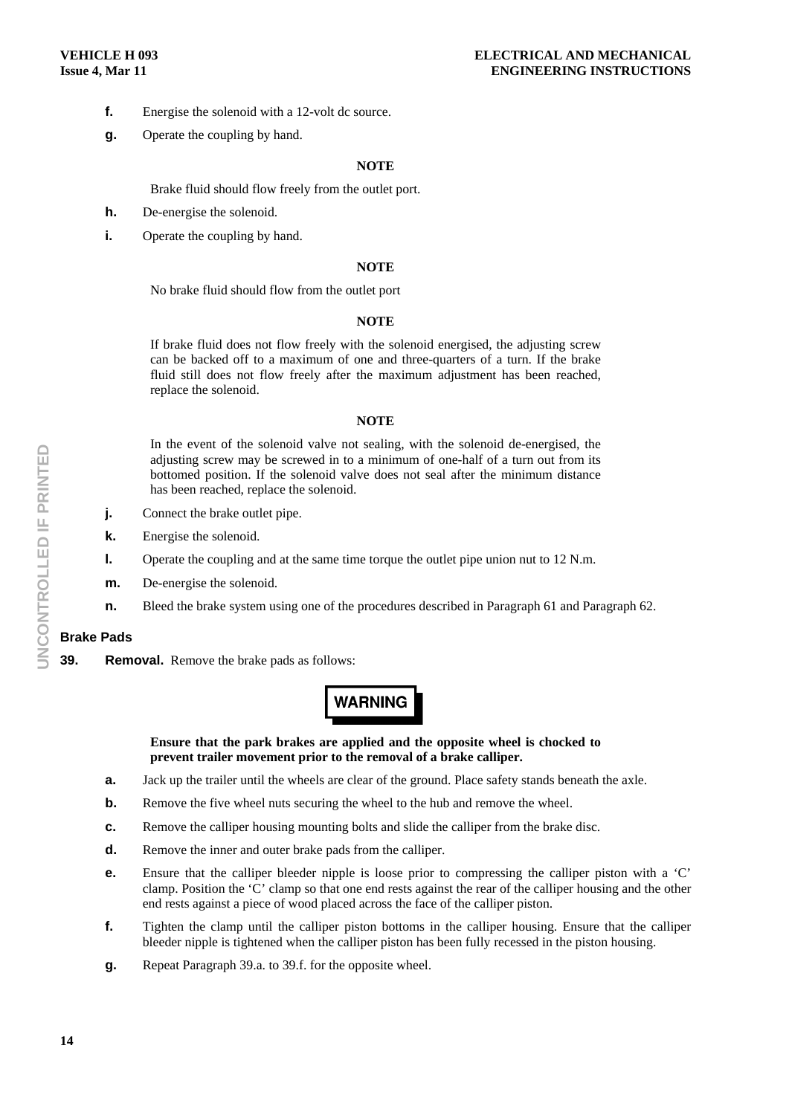#### **VEHICLE H 093 Issue 4, Mar 11**

- **f.** Energise the solenoid with a 12-volt dc source.
- **g.** Operate the coupling by hand.

#### **NOTE**

Brake fluid should flow freely from the outlet port.

- **h.** De-energise the solenoid.
- **i.** Operate the coupling by hand.

#### **NOTE**

No brake fluid should flow from the outlet port

#### **NOTE**

If brake fluid does not flow freely with the solenoid energised, the adjusting screw can be backed off to a maximum of one and three-quarters of a turn. If the brake fluid still does not flow freely after the maximum adjustment has been reached, replace the solenoid.

#### **NOTE**

In the event of the solenoid valve not sealing, with the solenoid de-energised, the adjusting screw may be screwed in to a minimum of one-half of a turn out from its bottomed position. If the solenoid valve does not seal after the minimum distance has been reached, replace the solenoid.

- **j.** Connect the brake outlet pipe.
- **k.** Energise the solenoid.
- **l.** Operate the coupling and at the same time torque the outlet pipe union nut to 12 N.m.
- **m.** De-energise the solenoid.
- **n.** Bleed the brake system using one of the procedures described in Paragraph 61 and Paragraph 62.

#### **Brake Pads**

**39. Removal.** Remove the brake pads as follows:

### **WARNING**

**Ensure that the park brakes are applied and the opposite wheel is chocked to prevent trailer movement prior to the removal of a brake calliper.** 

- **a.** Jack up the trailer until the wheels are clear of the ground. Place safety stands beneath the axle.
- **b.** Remove the five wheel nuts securing the wheel to the hub and remove the wheel.
- **c.** Remove the calliper housing mounting bolts and slide the calliper from the brake disc.
- **d.** Remove the inner and outer brake pads from the calliper.
- **e.** Ensure that the calliper bleeder nipple is loose prior to compressing the calliper piston with a 'C' clamp. Position the 'C' clamp so that one end rests against the rear of the calliper housing and the other end rests against a piece of wood placed across the face of the calliper piston.
- **f.** Tighten the clamp until the calliper piston bottoms in the calliper housing. Ensure that the calliper bleeder nipple is tightened when the calliper piston has been fully recessed in the piston housing.
- **g.** Repeat Paragraph 39.a. to 39.f. for the opposite wheel.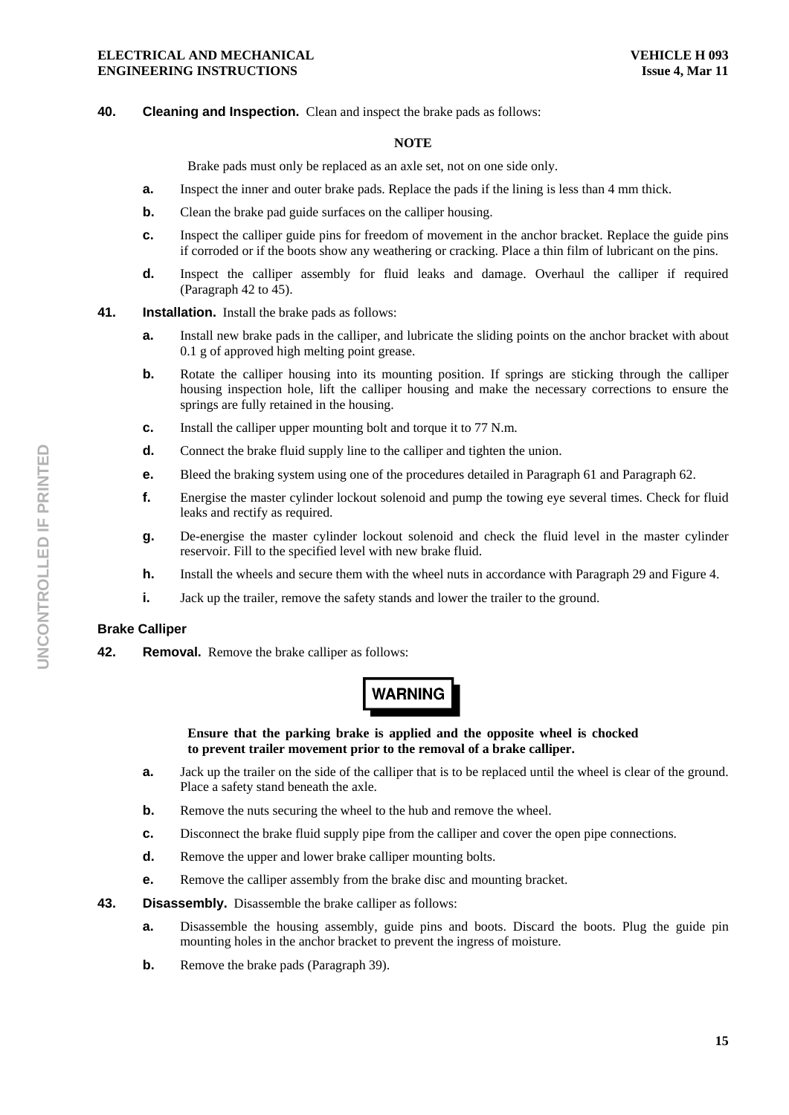**40. Cleaning and Inspection.** Clean and inspect the brake pads as follows:

#### **NOTE**

Brake pads must only be replaced as an axle set, not on one side only.

- **a.** Inspect the inner and outer brake pads. Replace the pads if the lining is less than 4 mm thick.
- **b.** Clean the brake pad guide surfaces on the calliper housing.
- **c.** Inspect the calliper guide pins for freedom of movement in the anchor bracket. Replace the guide pins if corroded or if the boots show any weathering or cracking. Place a thin film of lubricant on the pins.
- **d.** Inspect the calliper assembly for fluid leaks and damage. Overhaul the calliper if required (Paragraph 42 to 45).

#### **41. Installation.** Install the brake pads as follows:

- **a.** Install new brake pads in the calliper, and lubricate the sliding points on the anchor bracket with about 0.1 g of approved high melting point grease.
- **b.** Rotate the calliper housing into its mounting position. If springs are sticking through the calliper housing inspection hole, lift the calliper housing and make the necessary corrections to ensure the springs are fully retained in the housing.
- **c.** Install the calliper upper mounting bolt and torque it to 77 N.m.
- **d.** Connect the brake fluid supply line to the calliper and tighten the union.
- **e.** Bleed the braking system using one of the procedures detailed in Paragraph 61 and Paragraph 62.
- **f.** Energise the master cylinder lockout solenoid and pump the towing eye several times. Check for fluid leaks and rectify as required.
- **g.** De-energise the master cylinder lockout solenoid and check the fluid level in the master cylinder reservoir. Fill to the specified level with new brake fluid.
- **h.** Install the wheels and secure them with the wheel nuts in accordance with Paragraph 29 and Figure 4.
- **i.** Jack up the trailer, remove the safety stands and lower the trailer to the ground.

#### **Brake Calliper**

**42.** Removal. Remove the brake calliper as follows:

### **WARNING**

**Ensure that the parking brake is applied and the opposite wheel is chocked to prevent trailer movement prior to the removal of a brake calliper.** 

- **a.** Jack up the trailer on the side of the calliper that is to be replaced until the wheel is clear of the ground. Place a safety stand beneath the axle.
- **b.** Remove the nuts securing the wheel to the hub and remove the wheel.
- **c.** Disconnect the brake fluid supply pipe from the calliper and cover the open pipe connections.
- **d.** Remove the upper and lower brake calliper mounting bolts.
- **e.** Remove the calliper assembly from the brake disc and mounting bracket.
- **43. Disassembly.** Disassemble the brake calliper as follows:
	- **a.** Disassemble the housing assembly, guide pins and boots. Discard the boots. Plug the guide pin mounting holes in the anchor bracket to prevent the ingress of moisture.
	- **b.** Remove the brake pads (Paragraph 39).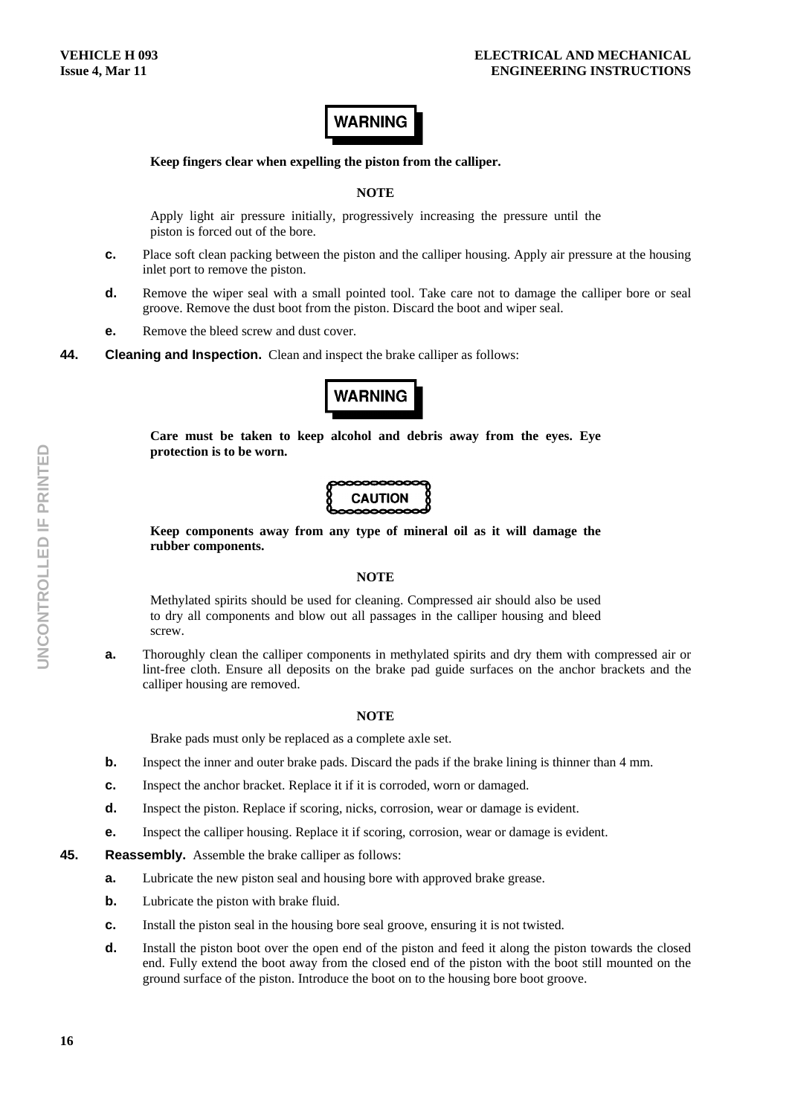## **WARNING**

#### **Keep fingers clear when expelling the piston from the calliper.**

#### **NOTE**

Apply light air pressure initially, progressively increasing the pressure until the piston is forced out of the bore.

- **c.** Place soft clean packing between the piston and the calliper housing. Apply air pressure at the housing inlet port to remove the piston.
- **d.** Remove the wiper seal with a small pointed tool. Take care not to damage the calliper bore or seal groove. Remove the dust boot from the piston. Discard the boot and wiper seal.
- **e.** Remove the bleed screw and dust cover.

**44. Cleaning and Inspection.** Clean and inspect the brake calliper as follows:



**Care must be taken to keep alcohol and debris away from the eyes. Eye protection is to be worn.** 



**Keep components away from any type of mineral oil as it will damage the rubber components.** 

#### **NOTE**

Methylated spirits should be used for cleaning. Compressed air should also be used to dry all components and blow out all passages in the calliper housing and bleed screw.

**a.** Thoroughly clean the calliper components in methylated spirits and dry them with compressed air or lint-free cloth. Ensure all deposits on the brake pad guide surfaces on the anchor brackets and the calliper housing are removed.

#### **NOTE**

Brake pads must only be replaced as a complete axle set.

- **b.** Inspect the inner and outer brake pads. Discard the pads if the brake lining is thinner than 4 mm.
- **c.** Inspect the anchor bracket. Replace it if it is corroded, worn or damaged.
- **d.** Inspect the piston. Replace if scoring, nicks, corrosion, wear or damage is evident.
- **e.** Inspect the calliper housing. Replace it if scoring, corrosion, wear or damage is evident.

#### **45. Reassembly.** Assemble the brake calliper as follows:

- **a.** Lubricate the new piston seal and housing bore with approved brake grease.
- **b.** Lubricate the piston with brake fluid.
- **c.** Install the piston seal in the housing bore seal groove, ensuring it is not twisted.
- **d.** Install the piston boot over the open end of the piston and feed it along the piston towards the closed end. Fully extend the boot away from the closed end of the piston with the boot still mounted on the ground surface of the piston. Introduce the boot on to the housing bore boot groove.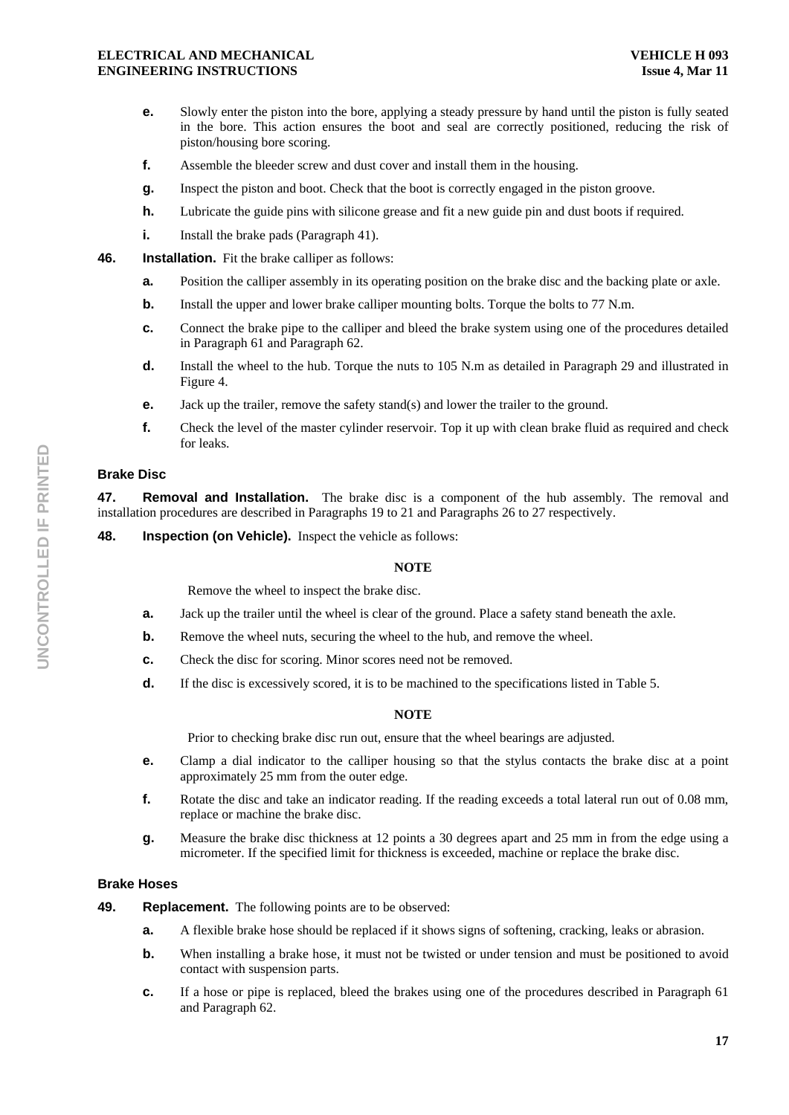- **e.** Slowly enter the piston into the bore, applying a steady pressure by hand until the piston is fully seated in the bore. This action ensures the boot and seal are correctly positioned, reducing the risk of piston/housing bore scoring.
- **f.** Assemble the bleeder screw and dust cover and install them in the housing.
- **g.** Inspect the piston and boot. Check that the boot is correctly engaged in the piston groove.
- **h.** Lubricate the guide pins with silicone grease and fit a new guide pin and dust boots if required.
- **i.** Install the brake pads (Paragraph 41).
- **46. Installation.** Fit the brake calliper as follows:
	- **a.** Position the calliper assembly in its operating position on the brake disc and the backing plate or axle.
	- **b.** Install the upper and lower brake calliper mounting bolts. Torque the bolts to 77 N.m.
	- **c.** Connect the brake pipe to the calliper and bleed the brake system using one of the procedures detailed in Paragraph 61 and Paragraph 62.
	- **d.** Install the wheel to the hub. Torque the nuts to 105 N.m as detailed in Paragraph 29 and illustrated in Figure 4.
	- **e.** Jack up the trailer, remove the safety stand(s) and lower the trailer to the ground.
	- **f.** Check the level of the master cylinder reservoir. Top it up with clean brake fluid as required and check for leaks.

#### **Brake Disc**

**47. Removal and Installation.** The brake disc is a component of the hub assembly. The removal and installation procedures are described in Paragraphs 19 to 21 and Paragraphs 26 to 27 respectively.

**48. Inspection (on Vehicle).** Inspect the vehicle as follows:

#### **NOTE**

Remove the wheel to inspect the brake disc.

- **a.** Jack up the trailer until the wheel is clear of the ground. Place a safety stand beneath the axle.
- **b.** Remove the wheel nuts, securing the wheel to the hub, and remove the wheel.
- **c.** Check the disc for scoring. Minor scores need not be removed.
- **d.** If the disc is excessively scored, it is to be machined to the specifications listed in Table 5.

#### **NOTE**

Prior to checking brake disc run out, ensure that the wheel bearings are adjusted.

- **e.** Clamp a dial indicator to the calliper housing so that the stylus contacts the brake disc at a point approximately 25 mm from the outer edge.
- **f.** Rotate the disc and take an indicator reading. If the reading exceeds a total lateral run out of 0.08 mm, replace or machine the brake disc.
- **g.** Measure the brake disc thickness at 12 points a 30 degrees apart and 25 mm in from the edge using a micrometer. If the specified limit for thickness is exceeded, machine or replace the brake disc.

#### **Brake Hoses**

**49. Replacement.** The following points are to be observed:

- **a.** A flexible brake hose should be replaced if it shows signs of softening, cracking, leaks or abrasion.
- **b.** When installing a brake hose, it must not be twisted or under tension and must be positioned to avoid contact with suspension parts.
- **c.** If a hose or pipe is replaced, bleed the brakes using one of the procedures described in Paragraph 61 and Paragraph 62.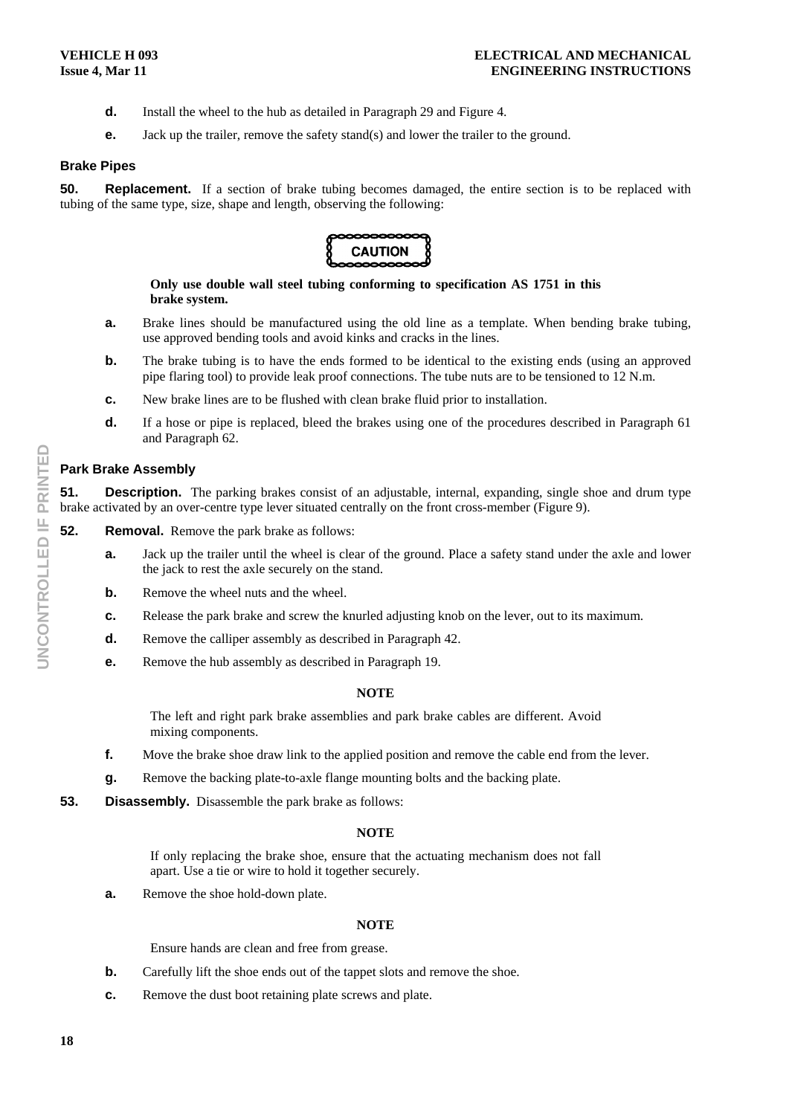- **d.** Install the wheel to the hub as detailed in Paragraph 29 and Figure 4.
- **e.** Jack up the trailer, remove the safety stand(s) and lower the trailer to the ground.

#### **Brake Pipes**

**50. Replacement.** If a section of brake tubing becomes damaged, the entire section is to be replaced with tubing of the same type, size, shape and length, observing the following:



**Only use double wall steel tubing conforming to specification AS 1751 in this brake system.** 

- **a.** Brake lines should be manufactured using the old line as a template. When bending brake tubing, use approved bending tools and avoid kinks and cracks in the lines.
- **b.** The brake tubing is to have the ends formed to be identical to the existing ends (using an approved pipe flaring tool) to provide leak proof connections. The tube nuts are to be tensioned to 12 N.m.
- **c.** New brake lines are to be flushed with clean brake fluid prior to installation.
- **d.** If a hose or pipe is replaced, bleed the brakes using one of the procedures described in Paragraph 61 and Paragraph 62.

#### **Park Brake Assembly**

**51. Description.** The parking brakes consist of an adjustable, internal, expanding, single shoe and drum type brake activated by an over-centre type lever situated centrally on the front cross-member (Figure 9).

**52. Removal.** Remove the park brake as follows:

- **a.** Jack up the trailer until the wheel is clear of the ground. Place a safety stand under the axle and lower the jack to rest the axle securely on the stand.
- **b.** Remove the wheel nuts and the wheel.
- **c.** Release the park brake and screw the knurled adjusting knob on the lever, out to its maximum.
- **d.** Remove the calliper assembly as described in Paragraph 42.
- **e.** Remove the hub assembly as described in Paragraph 19.

#### **NOTE**

The left and right park brake assemblies and park brake cables are different. Avoid mixing components.

- **f.** Move the brake shoe draw link to the applied position and remove the cable end from the lever.
- **g.** Remove the backing plate-to-axle flange mounting bolts and the backing plate.
- **53. Disassembly.** Disassemble the park brake as follows:

#### **NOTE**

If only replacing the brake shoe, ensure that the actuating mechanism does not fall apart. Use a tie or wire to hold it together securely.

**a.** Remove the shoe hold-down plate.

#### **NOTE**

Ensure hands are clean and free from grease.

- **b.** Carefully lift the shoe ends out of the tappet slots and remove the shoe.
- **c.** Remove the dust boot retaining plate screws and plate.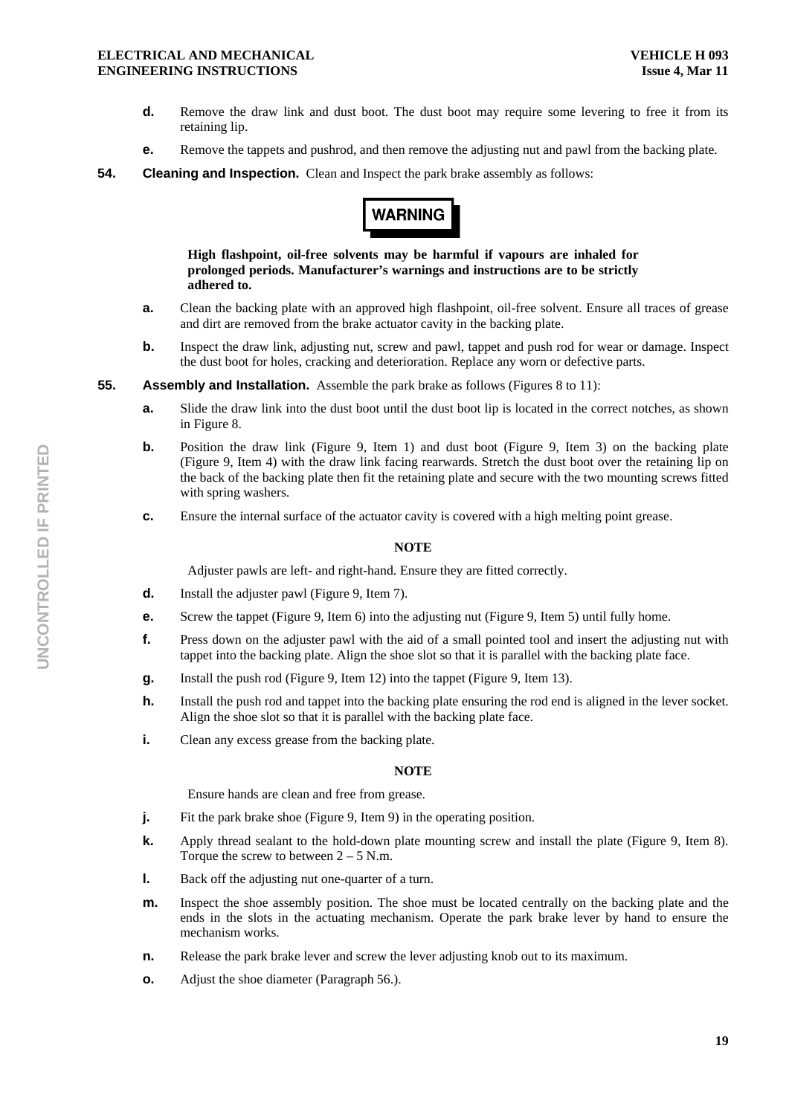- **d.** Remove the draw link and dust boot. The dust boot may require some levering to free it from its retaining lip.
- **e.** Remove the tappets and pushrod, and then remove the adjusting nut and pawl from the backing plate.
- **54. Cleaning and Inspection.** Clean and Inspect the park brake assembly as follows:



**High flashpoint, oil-free solvents may be harmful if vapours are inhaled for prolonged periods. Manufacturer's warnings and instructions are to be strictly adhered to.** 

- **a.** Clean the backing plate with an approved high flashpoint, oil-free solvent. Ensure all traces of grease and dirt are removed from the brake actuator cavity in the backing plate.
- **b.** Inspect the draw link, adjusting nut, screw and pawl, tappet and push rod for wear or damage. Inspect the dust boot for holes, cracking and deterioration. Replace any worn or defective parts.

#### **55. Assembly and Installation.** Assemble the park brake as follows (Figures 8 to 11):

- **a.** Slide the draw link into the dust boot until the dust boot lip is located in the correct notches, as shown in Figure 8.
- **b.** Position the draw link (Figure 9, Item 1) and dust boot (Figure 9, Item 3) on the backing plate (Figure 9, Item 4) with the draw link facing rearwards. Stretch the dust boot over the retaining lip on the back of the backing plate then fit the retaining plate and secure with the two mounting screws fitted with spring washers.
- **c.** Ensure the internal surface of the actuator cavity is covered with a high melting point grease.

#### **NOTE**

Adjuster pawls are left- and right-hand. Ensure they are fitted correctly.

- **d.** Install the adjuster pawl (Figure 9, Item 7).
- **e.** Screw the tappet (Figure 9, Item 6) into the adjusting nut (Figure 9, Item 5) until fully home.
- **f.** Press down on the adjuster pawl with the aid of a small pointed tool and insert the adjusting nut with tappet into the backing plate. Align the shoe slot so that it is parallel with the backing plate face.
- **g.** Install the push rod (Figure 9, Item 12) into the tappet (Figure 9, Item 13).
- **h.** Install the push rod and tappet into the backing plate ensuring the rod end is aligned in the lever socket. Align the shoe slot so that it is parallel with the backing plate face.
- **i.** Clean any excess grease from the backing plate.

#### **NOTE**

Ensure hands are clean and free from grease.

- **j.** Fit the park brake shoe (Figure 9, Item 9) in the operating position.
- **k.** Apply thread sealant to the hold-down plate mounting screw and install the plate (Figure 9, Item 8). Torque the screw to between  $2 - 5$  N.m.
- **l.** Back off the adjusting nut one-quarter of a turn.
- **m.** Inspect the shoe assembly position. The shoe must be located centrally on the backing plate and the ends in the slots in the actuating mechanism. Operate the park brake lever by hand to ensure the mechanism works.
- **n.** Release the park brake lever and screw the lever adjusting knob out to its maximum.
- **o.** Adjust the shoe diameter (Paragraph 56.).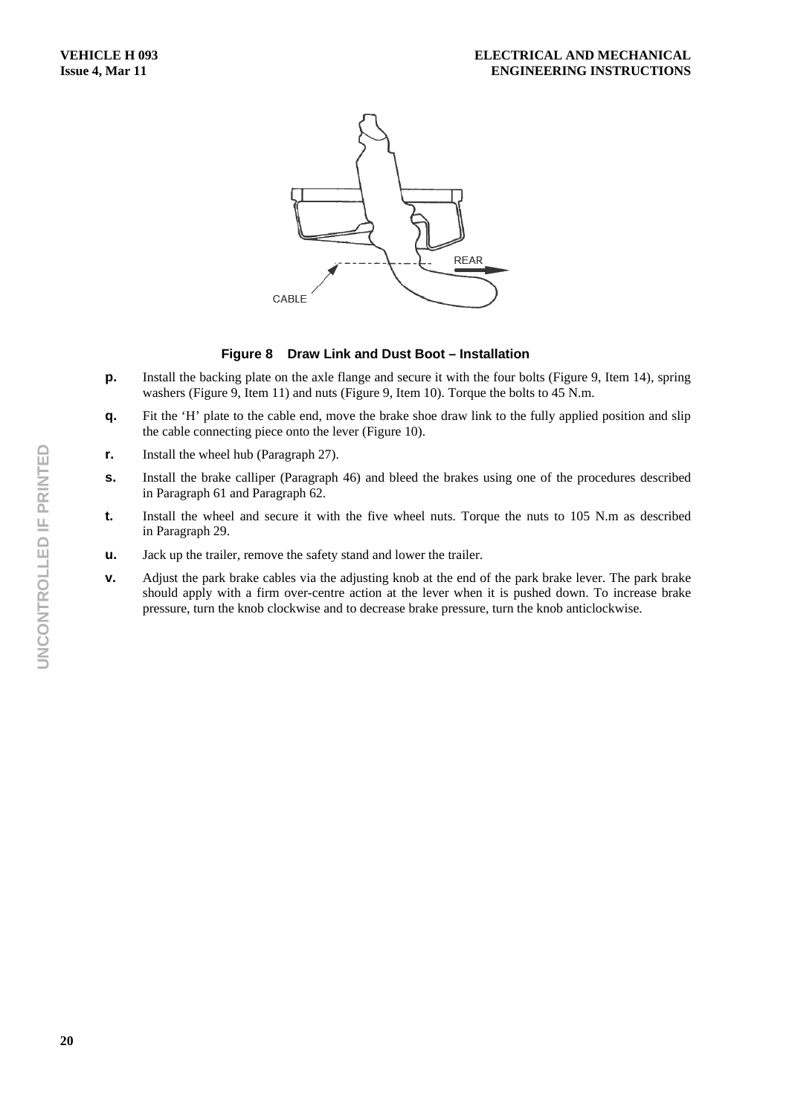

#### **Figure 8 Draw Link and Dust Boot – Installation**

- **p.** Install the backing plate on the axle flange and secure it with the four bolts (Figure 9, Item 14), spring washers (Figure 9, Item 11) and nuts (Figure 9, Item 10). Torque the bolts to 45 N.m.
- **q.** Fit the 'H' plate to the cable end, move the brake shoe draw link to the fully applied position and slip the cable connecting piece onto the lever (Figure 10).
- **r.** Install the wheel hub (Paragraph 27).
- **s.** Install the brake calliper (Paragraph 46) and bleed the brakes using one of the procedures described in Paragraph 61 and Paragraph 62.
- **t.** Install the wheel and secure it with the five wheel nuts. Torque the nuts to 105 N.m as described in Paragraph 29.
- **u.** Jack up the trailer, remove the safety stand and lower the trailer.
- **v.** Adjust the park brake cables via the adjusting knob at the end of the park brake lever. The park brake should apply with a firm over-centre action at the lever when it is pushed down. To increase brake pressure, turn the knob clockwise and to decrease brake pressure, turn the knob anticlockwise.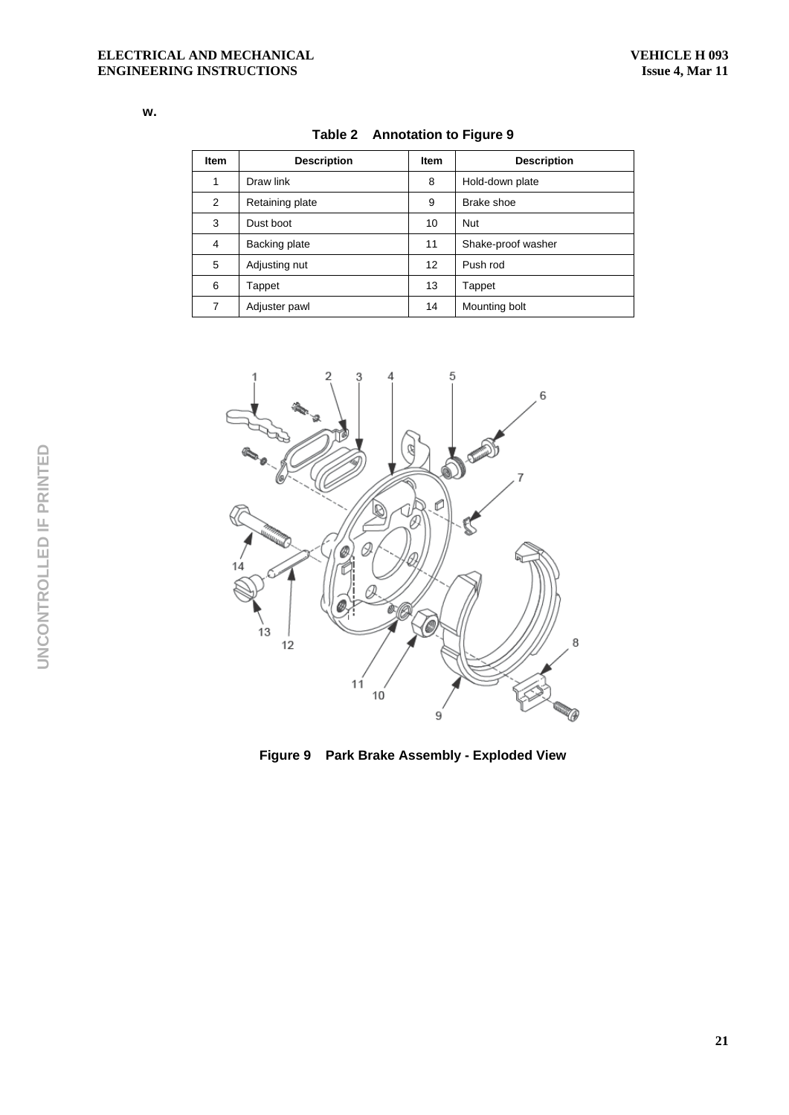**w.** 

| <b>Item</b>    | <b>Description</b> | <b>Item</b> | <b>Description</b> |
|----------------|--------------------|-------------|--------------------|
| 1              | Draw link          | 8           | Hold-down plate    |
| $\overline{2}$ | Retaining plate    | 9           | Brake shoe         |
| 3              | Dust boot          | 10          | Nut                |
| 4              | Backing plate      | 11          | Shake-proof washer |
| 5              | Adjusting nut      | 12          | Push rod           |
| 6              | Tappet             | 13          | Tappet             |
| 7              | Adjuster pawl      | 14          | Mounting bolt      |

#### **Table 2 Annotation to Figure 9**



**Figure 9 Park Brake Assembly - Exploded View**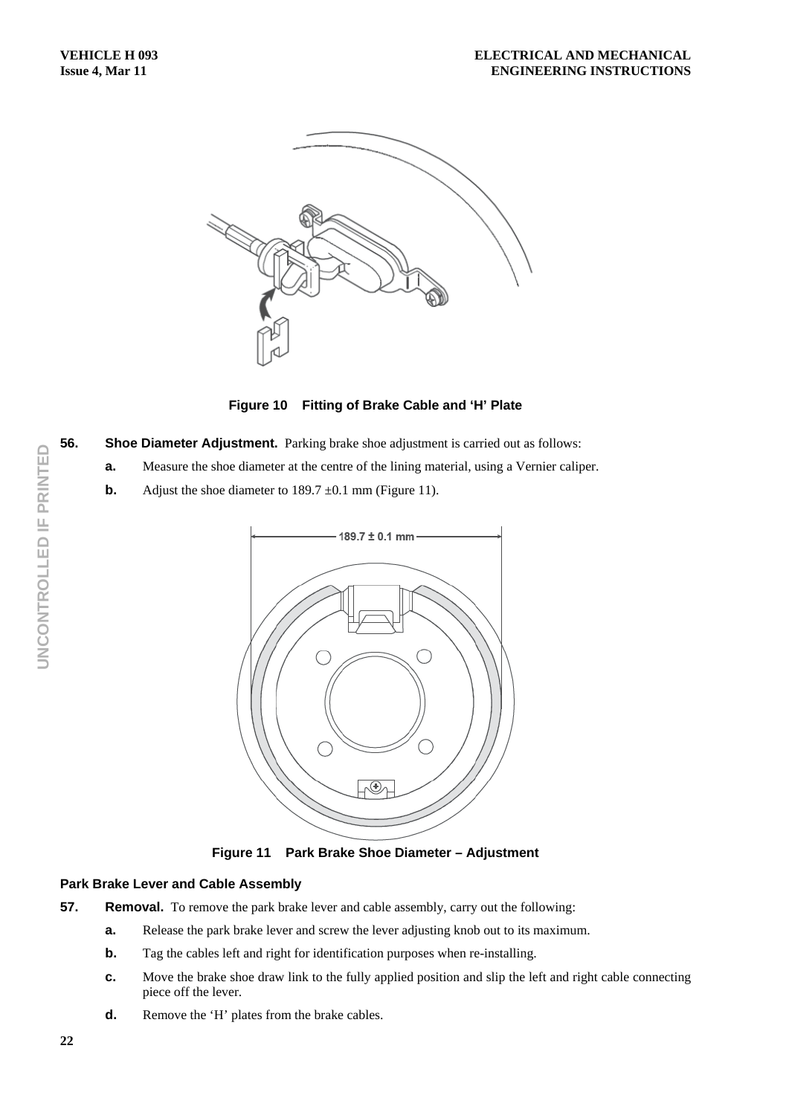

**Figure 10 Fitting of Brake Cable and 'H' Plate** 

**56.** Shoe Diameter Adjustment. Parking brake shoe adjustment is carried out as follows:

- **a.** Measure the shoe diameter at the centre of the lining material, using a Vernier caliper.
- **b.** Adjust the shoe diameter to  $189.7 \pm 0.1$  mm (Figure 11).



**Figure 11 Park Brake Shoe Diameter – Adjustment** 

#### **Park Brake Lever and Cable Assembly**

- **57.** Removal. To remove the park brake lever and cable assembly, carry out the following:
	- **a.** Release the park brake lever and screw the lever adjusting knob out to its maximum.
	- **b.** Tag the cables left and right for identification purposes when re-installing.
	- **c.** Move the brake shoe draw link to the fully applied position and slip the left and right cable connecting piece off the lever.
	- **d.** Remove the 'H' plates from the brake cables.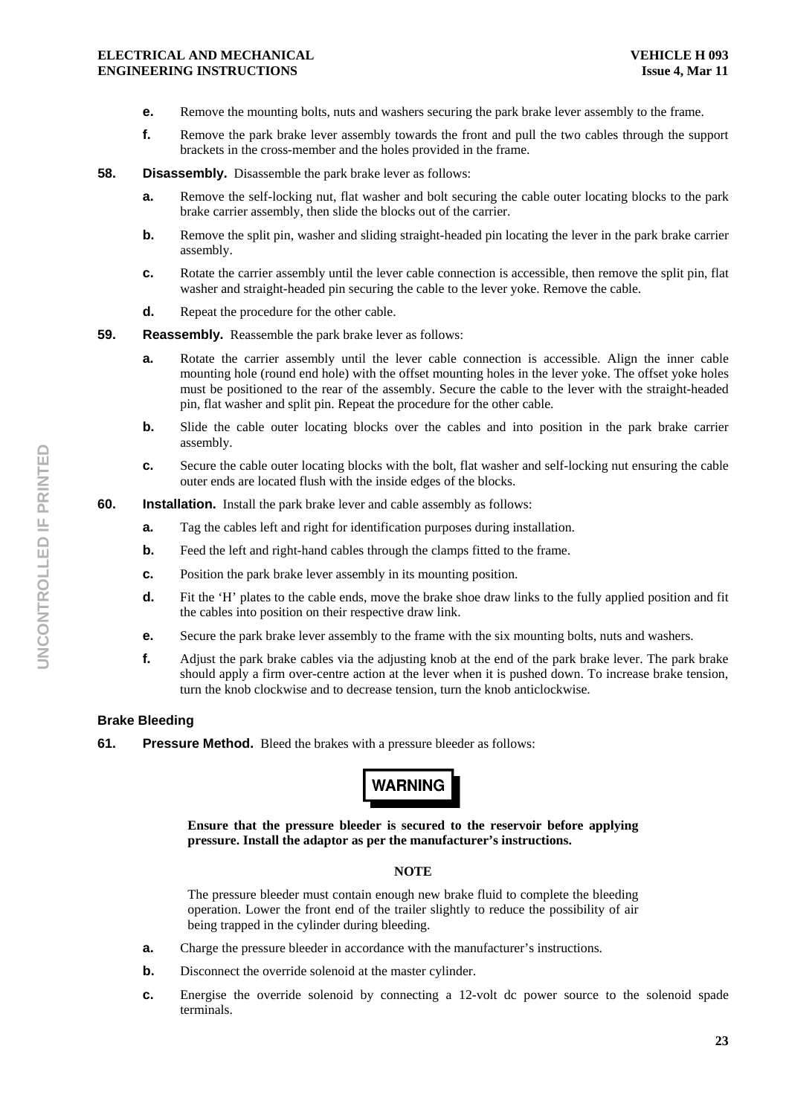- **e.** Remove the mounting bolts, nuts and washers securing the park brake lever assembly to the frame.
- **f.** Remove the park brake lever assembly towards the front and pull the two cables through the support brackets in the cross-member and the holes provided in the frame.

#### **58. Disassembly.** Disassemble the park brake lever as follows:

- **a.** Remove the self-locking nut, flat washer and bolt securing the cable outer locating blocks to the park brake carrier assembly, then slide the blocks out of the carrier.
- **b.** Remove the split pin, washer and sliding straight-headed pin locating the lever in the park brake carrier assembly.
- **c.** Rotate the carrier assembly until the lever cable connection is accessible, then remove the split pin, flat washer and straight-headed pin securing the cable to the lever yoke. Remove the cable.
- **d.** Repeat the procedure for the other cable.

#### **59. Reassembly.** Reassemble the park brake lever as follows:

- **a.** Rotate the carrier assembly until the lever cable connection is accessible. Align the inner cable mounting hole (round end hole) with the offset mounting holes in the lever yoke. The offset yoke holes must be positioned to the rear of the assembly. Secure the cable to the lever with the straight-headed pin, flat washer and split pin. Repeat the procedure for the other cable.
- **b.** Slide the cable outer locating blocks over the cables and into position in the park brake carrier assembly.
- **c.** Secure the cable outer locating blocks with the bolt, flat washer and self-locking nut ensuring the cable outer ends are located flush with the inside edges of the blocks.
- **60. Installation.** Install the park brake lever and cable assembly as follows:
	- **a.** Tag the cables left and right for identification purposes during installation.
	- **b.** Feed the left and right-hand cables through the clamps fitted to the frame.
	- **c.** Position the park brake lever assembly in its mounting position.
	- **d.** Fit the 'H' plates to the cable ends, move the brake shoe draw links to the fully applied position and fit the cables into position on their respective draw link.
	- **e.** Secure the park brake lever assembly to the frame with the six mounting bolts, nuts and washers.
	- **f.** Adjust the park brake cables via the adjusting knob at the end of the park brake lever. The park brake should apply a firm over-centre action at the lever when it is pushed down. To increase brake tension, turn the knob clockwise and to decrease tension, turn the knob anticlockwise.

#### **Brake Bleeding**

**61. Pressure Method.** Bleed the brakes with a pressure bleeder as follows:



**Ensure that the pressure bleeder is secured to the reservoir before applying pressure. Install the adaptor as per the manufacturer's instructions.** 

#### **NOTE**

The pressure bleeder must contain enough new brake fluid to complete the bleeding operation. Lower the front end of the trailer slightly to reduce the possibility of air being trapped in the cylinder during bleeding.

- **a.** Charge the pressure bleeder in accordance with the manufacturer's instructions.
- **b.** Disconnect the override solenoid at the master cylinder.
- **c.** Energise the override solenoid by connecting a 12-volt dc power source to the solenoid spade terminals.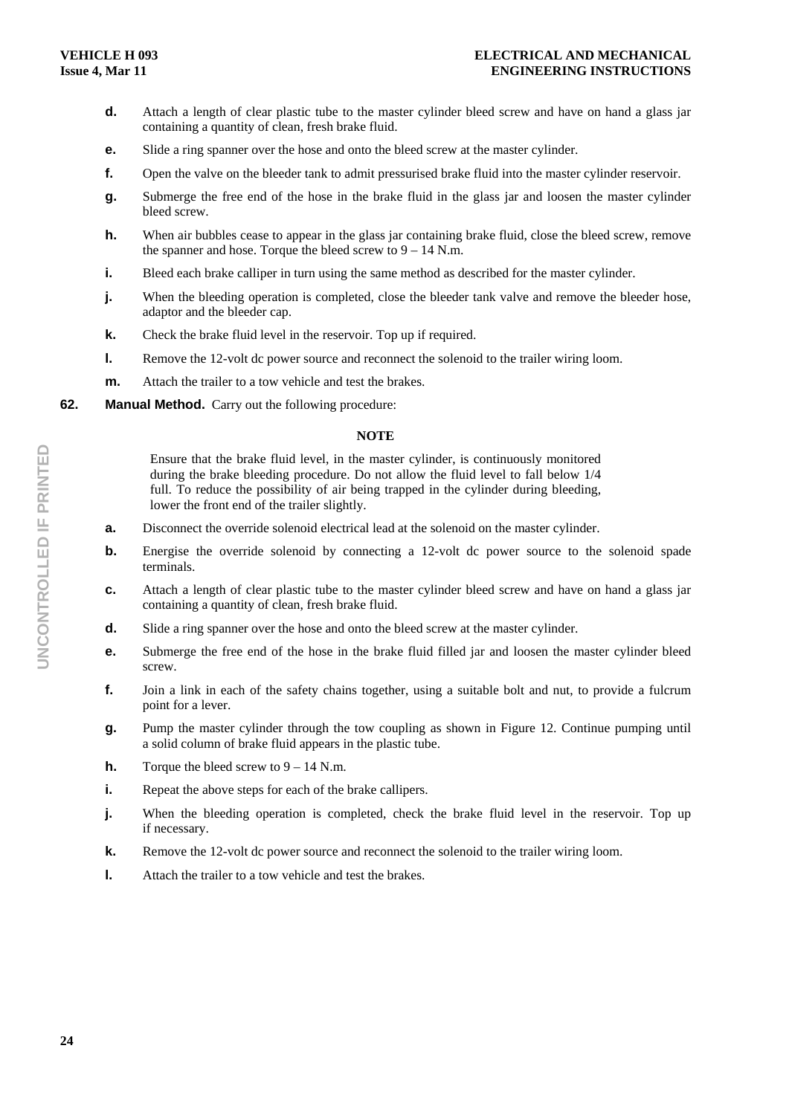- **d.** Attach a length of clear plastic tube to the master cylinder bleed screw and have on hand a glass jar containing a quantity of clean, fresh brake fluid.
- **e.** Slide a ring spanner over the hose and onto the bleed screw at the master cylinder.
- **f.** Open the valve on the bleeder tank to admit pressurised brake fluid into the master cylinder reservoir.
- **g.** Submerge the free end of the hose in the brake fluid in the glass jar and loosen the master cylinder bleed screw.
- **h.** When air bubbles cease to appear in the glass jar containing brake fluid, close the bleed screw, remove the spanner and hose. Torque the bleed screw to  $9 - 14$  N.m.
- **i.** Bleed each brake calliper in turn using the same method as described for the master cylinder.
- **j.** When the bleeding operation is completed, close the bleeder tank valve and remove the bleeder hose, adaptor and the bleeder cap.
- **k.** Check the brake fluid level in the reservoir. Top up if required.
- **l.** Remove the 12-volt dc power source and reconnect the solenoid to the trailer wiring loom.
- **m.** Attach the trailer to a tow vehicle and test the brakes.
- **62. Manual Method.** Carry out the following procedure:

#### **NOTE**

Ensure that the brake fluid level, in the master cylinder, is continuously monitored during the brake bleeding procedure. Do not allow the fluid level to fall below 1/4 full. To reduce the possibility of air being trapped in the cylinder during bleeding, lower the front end of the trailer slightly.

- **a.** Disconnect the override solenoid electrical lead at the solenoid on the master cylinder.
- **b.** Energise the override solenoid by connecting a 12-volt dc power source to the solenoid spade terminals.
- **c.** Attach a length of clear plastic tube to the master cylinder bleed screw and have on hand a glass jar containing a quantity of clean, fresh brake fluid.
- **d.** Slide a ring spanner over the hose and onto the bleed screw at the master cylinder.
- **e.** Submerge the free end of the hose in the brake fluid filled jar and loosen the master cylinder bleed screw.
- **f.** Join a link in each of the safety chains together, using a suitable bolt and nut, to provide a fulcrum point for a lever.
- **g.** Pump the master cylinder through the tow coupling as shown in Figure 12. Continue pumping until a solid column of brake fluid appears in the plastic tube.
- **h.** Torque the bleed screw to  $9 14$  N.m.
- **i.** Repeat the above steps for each of the brake callipers.
- **j.** When the bleeding operation is completed, check the brake fluid level in the reservoir. Top up if necessary.
- **k.** Remove the 12-volt dc power source and reconnect the solenoid to the trailer wiring loom.
- **l.** Attach the trailer to a tow vehicle and test the brakes.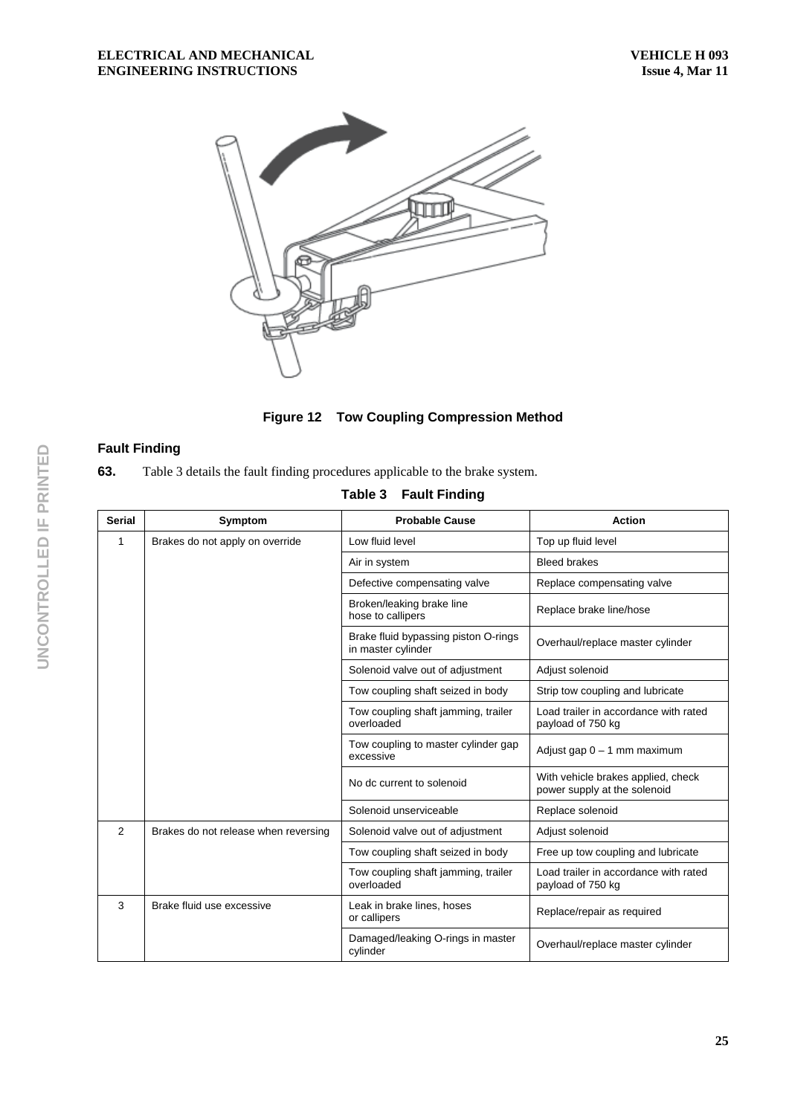



#### **Fault Finding**

**63.** Table 3 details the fault finding procedures applicable to the brake system.

#### **Table 3 Fault Finding**

| <b>Serial</b> | Symptom                                            | <b>Probable Cause</b>                                      | <b>Action</b>                                                      |
|---------------|----------------------------------------------------|------------------------------------------------------------|--------------------------------------------------------------------|
| 1             | Low fluid level<br>Brakes do not apply on override |                                                            | Top up fluid level                                                 |
|               |                                                    | Air in system                                              | <b>Bleed brakes</b>                                                |
|               |                                                    | Defective compensating valve                               | Replace compensating valve                                         |
|               |                                                    | Broken/leaking brake line<br>hose to callipers             | Replace brake line/hose                                            |
|               |                                                    | Brake fluid bypassing piston O-rings<br>in master cylinder | Overhaul/replace master cylinder                                   |
|               |                                                    | Solenoid valve out of adjustment                           | Adjust solenoid                                                    |
|               |                                                    | Tow coupling shaft seized in body                          | Strip tow coupling and lubricate                                   |
|               |                                                    | Tow coupling shaft jamming, trailer<br>overloaded          | Load trailer in accordance with rated<br>payload of 750 kg         |
|               |                                                    | Tow coupling to master cylinder gap<br>excessive           | Adjust gap $0 - 1$ mm maximum                                      |
|               |                                                    | No dc current to solenoid                                  | With vehicle brakes applied, check<br>power supply at the solenoid |
|               |                                                    | Solenoid unserviceable                                     | Replace solenoid                                                   |
| 2             | Brakes do not release when reversing               | Solenoid valve out of adjustment                           | Adjust solenoid                                                    |
|               |                                                    | Tow coupling shaft seized in body                          | Free up tow coupling and lubricate                                 |
|               |                                                    | Tow coupling shaft jamming, trailer<br>overloaded          | Load trailer in accordance with rated<br>payload of 750 kg         |
| 3             | Brake fluid use excessive                          | Leak in brake lines, hoses<br>or callipers                 | Replace/repair as required                                         |
|               |                                                    | Damaged/leaking O-rings in master<br>cylinder              | Overhaul/replace master cylinder                                   |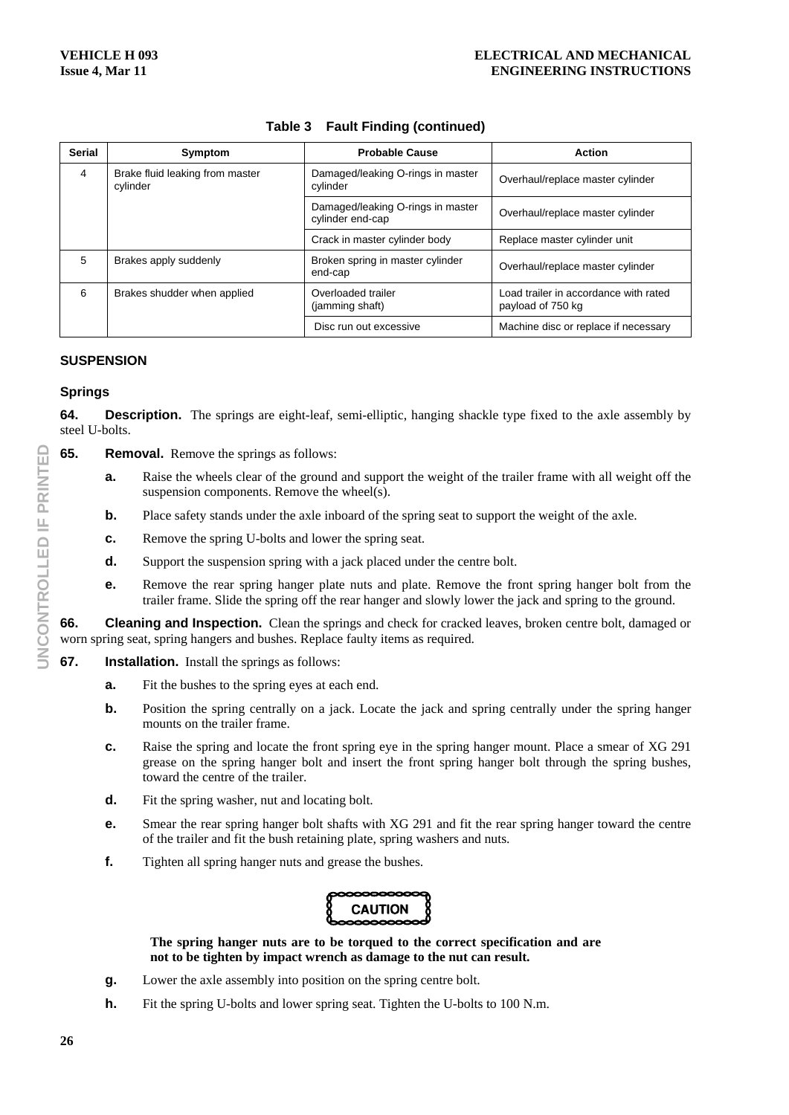| <b>Serial</b><br>Symptom |                                             | <b>Probable Cause</b>                                 | <b>Action</b>                                              |  |  |
|--------------------------|---------------------------------------------|-------------------------------------------------------|------------------------------------------------------------|--|--|
| 4                        | Brake fluid leaking from master<br>cylinder | Damaged/leaking O-rings in master<br>cylinder         | Overhaul/replace master cylinder                           |  |  |
|                          |                                             | Damaged/leaking O-rings in master<br>cylinder end-cap | Overhaul/replace master cylinder                           |  |  |
|                          |                                             | Crack in master cylinder body                         | Replace master cylinder unit                               |  |  |
| 5                        | Brakes apply suddenly                       | Broken spring in master cylinder<br>end-cap           | Overhaul/replace master cylinder                           |  |  |
| 6                        | Brakes shudder when applied                 | Overloaded trailer<br>(jamming shaft)                 | Load trailer in accordance with rated<br>payload of 750 kg |  |  |
|                          |                                             | Disc run out excessive                                | Machine disc or replace if necessary                       |  |  |

#### **Table 3 Fault Finding (continued)**

#### **SUSPENSION**

#### **Springs**

**64. Description.** The springs are eight-leaf, semi-elliptic, hanging shackle type fixed to the axle assembly by steel U-bolts.

**65.** Removal. Remove the springs as follows:

- **a.** Raise the wheels clear of the ground and support the weight of the trailer frame with all weight off the suspension components. Remove the wheel(s).
- **b.** Place safety stands under the axle inboard of the spring seat to support the weight of the axle.
- **c.** Remove the spring U-bolts and lower the spring seat.
- **d.** Support the suspension spring with a jack placed under the centre bolt.
- **e.** Remove the rear spring hanger plate nuts and plate. Remove the front spring hanger bolt from the trailer frame. Slide the spring off the rear hanger and slowly lower the jack and spring to the ground.

**66.** Cleaning and Inspection. Clean the springs and check for cracked leaves, broken centre bolt, damaged or worn spring seat, spring hangers and bushes. Replace faulty items as required.

- **67. Installation.** Install the springs as follows:
	- **a.** Fit the bushes to the spring eyes at each end.
	- **b.** Position the spring centrally on a jack. Locate the jack and spring centrally under the spring hanger mounts on the trailer frame.
	- **c.** Raise the spring and locate the front spring eye in the spring hanger mount. Place a smear of XG 291 grease on the spring hanger bolt and insert the front spring hanger bolt through the spring bushes, toward the centre of the trailer.
	- **d.** Fit the spring washer, nut and locating bolt.
	- **e.** Smear the rear spring hanger bolt shafts with XG 291 and fit the rear spring hanger toward the centre of the trailer and fit the bush retaining plate, spring washers and nuts.
	- **f.** Tighten all spring hanger nuts and grease the bushes.



**The spring hanger nuts are to be torqued to the correct specification and are not to be tighten by impact wrench as damage to the nut can result.** 

- **g.** Lower the axle assembly into position on the spring centre bolt.
- **h.** Fit the spring U-bolts and lower spring seat. Tighten the U-bolts to 100 N.m.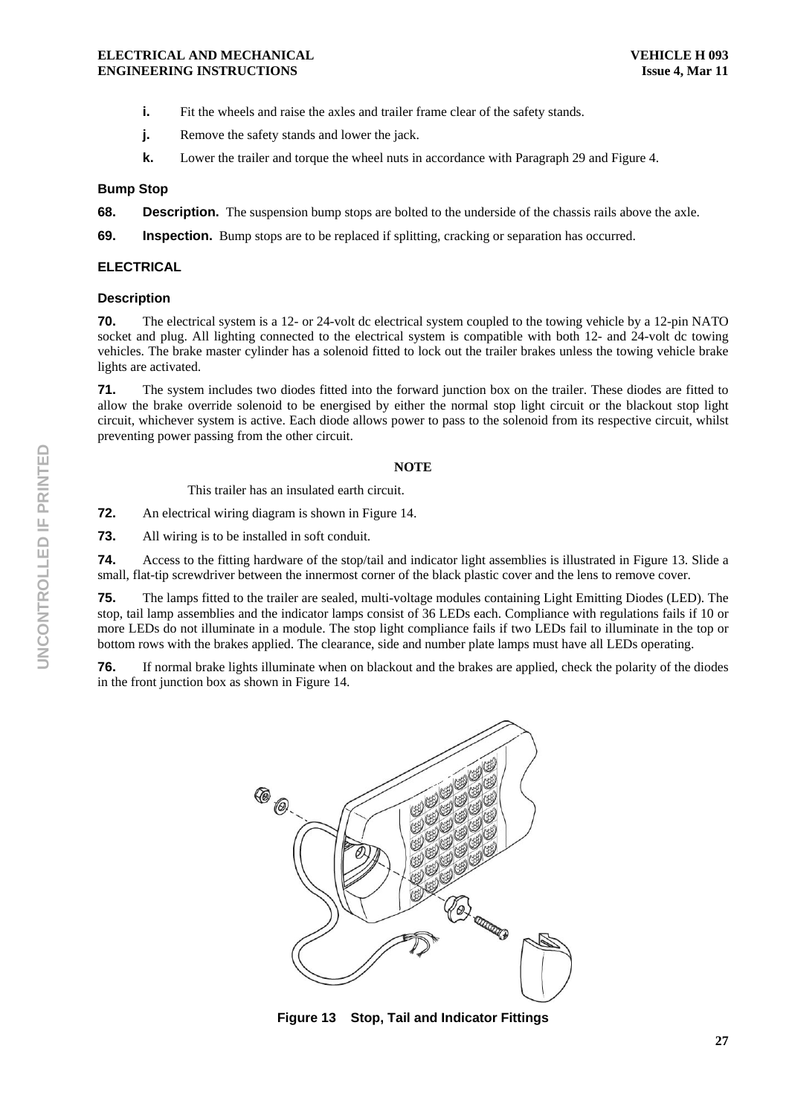- **i.** Fit the wheels and raise the axles and trailer frame clear of the safety stands.
- **j.** Remove the safety stands and lower the jack.
- **k.** Lower the trailer and torque the wheel nuts in accordance with Paragraph 29 and Figure 4.

#### **Bump Stop**

**68. Description.** The suspension bump stops are bolted to the underside of the chassis rails above the axle.

**69.** Inspection. Bump stops are to be replaced if splitting, cracking or separation has occurred.

#### **ELECTRICAL**

#### **Description**

**70.** The electrical system is a 12- or 24-volt dc electrical system coupled to the towing vehicle by a 12-pin NATO socket and plug. All lighting connected to the electrical system is compatible with both 12- and 24-volt dc towing vehicles. The brake master cylinder has a solenoid fitted to lock out the trailer brakes unless the towing vehicle brake lights are activated.

**71.** The system includes two diodes fitted into the forward junction box on the trailer. These diodes are fitted to allow the brake override solenoid to be energised by either the normal stop light circuit or the blackout stop light circuit, whichever system is active. Each diode allows power to pass to the solenoid from its respective circuit, whilst preventing power passing from the other circuit.

#### **NOTE**

This trailer has an insulated earth circuit.

**72.** An electrical wiring diagram is shown in Figure 14.

**73.** All wiring is to be installed in soft conduit.

**74.** Access to the fitting hardware of the stop/tail and indicator light assemblies is illustrated in Figure 13. Slide a small, flat-tip screwdriver between the innermost corner of the black plastic cover and the lens to remove cover.

**75.** The lamps fitted to the trailer are sealed, multi-voltage modules containing Light Emitting Diodes (LED). The stop, tail lamp assemblies and the indicator lamps consist of 36 LEDs each. Compliance with regulations fails if 10 or more LEDs do not illuminate in a module. The stop light compliance fails if two LEDs fail to illuminate in the top or bottom rows with the brakes applied. The clearance, side and number plate lamps must have all LEDs operating.

**76.** If normal brake lights illuminate when on blackout and the brakes are applied, check the polarity of the diodes in the front junction box as shown in Figure 14.



**Figure 13 Stop, Tail and Indicator Fittings**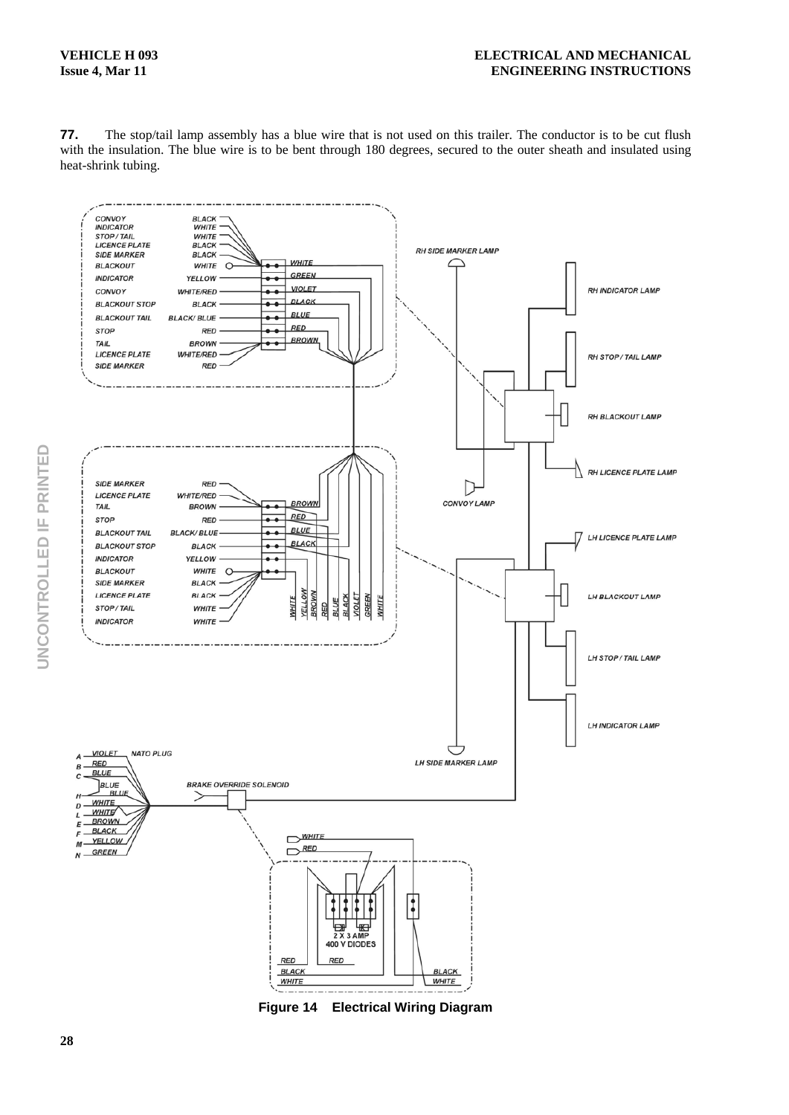#### **VEHICLE H 093 Issue 4, Mar 11**

**77.** The stop/tail lamp assembly has a blue wire that is not used on this trailer. The conductor is to be cut flush with the insulation. The blue wire is to be bent through 180 degrees, secured to the outer sheath and insulated using heat-shrink tubing.



**Figure 14 Electrical Wiring Diagram**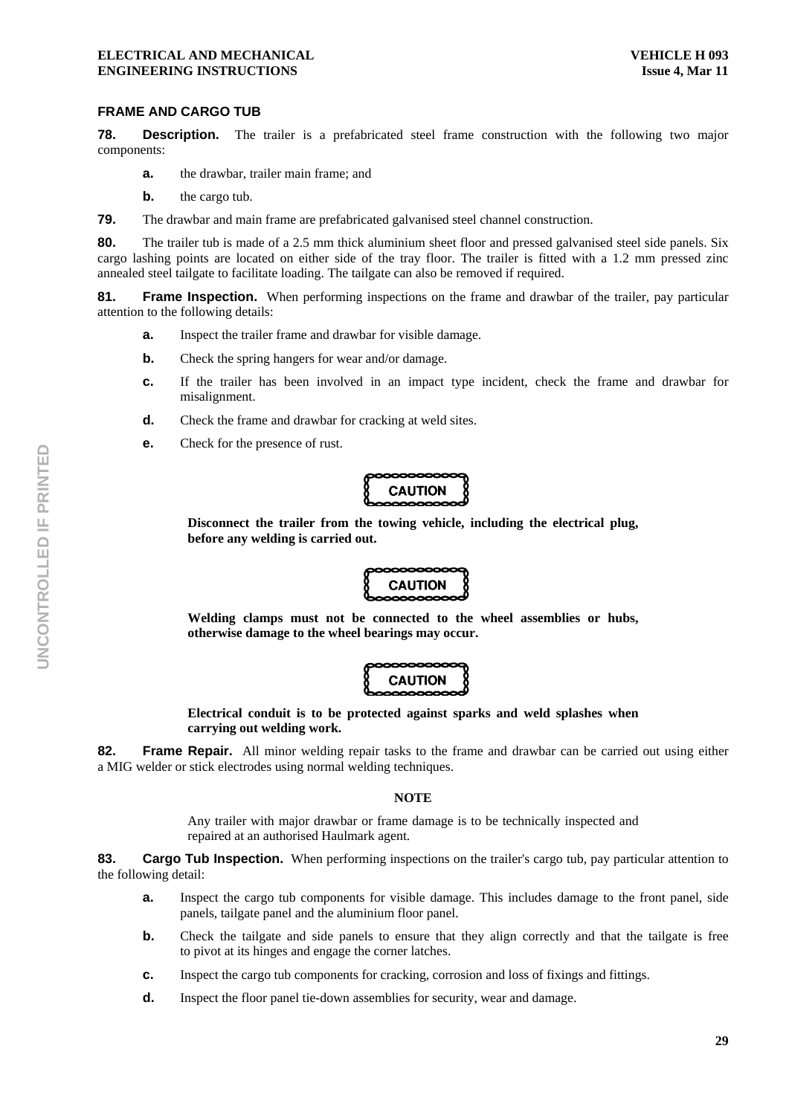#### **FRAME AND CARGO TUB**

**78. Description.** The trailer is a prefabricated steel frame construction with the following two major components:

- **a.** the drawbar, trailer main frame; and
- **b.** the cargo tub.

**79.** The drawbar and main frame are prefabricated galvanised steel channel construction.

**80.** The trailer tub is made of a 2.5 mm thick aluminium sheet floor and pressed galvanised steel side panels. Six cargo lashing points are located on either side of the tray floor. The trailer is fitted with a 1.2 mm pressed zinc annealed steel tailgate to facilitate loading. The tailgate can also be removed if required.

**81. Frame Inspection.** When performing inspections on the frame and drawbar of the trailer, pay particular attention to the following details:

- **a.** Inspect the trailer frame and drawbar for visible damage.
- **b.** Check the spring hangers for wear and/or damage.
- **c.** If the trailer has been involved in an impact type incident, check the frame and drawbar for misalignment.
- **d.** Check the frame and drawbar for cracking at weld sites.
- **e.** Check for the presence of rust.



**Disconnect the trailer from the towing vehicle, including the electrical plug, before any welding is carried out.** 



**Welding clamps must not be connected to the wheel assemblies or hubs, otherwise damage to the wheel bearings may occur.** 

**Electrical conduit is to be protected against sparks and weld splashes when carrying out welding work.** 

**82. Frame Repair.** All minor welding repair tasks to the frame and drawbar can be carried out using either a MIG welder or stick electrodes using normal welding techniques.

#### **NOTE**

Any trailer with major drawbar or frame damage is to be technically inspected and repaired at an authorised Haulmark agent.

**83.** Cargo Tub Inspection. When performing inspections on the trailer's cargo tub, pay particular attention to the following detail:

- **a.** Inspect the cargo tub components for visible damage. This includes damage to the front panel, side panels, tailgate panel and the aluminium floor panel.
- **b.** Check the tailgate and side panels to ensure that they align correctly and that the tailgate is free to pivot at its hinges and engage the corner latches.
- **c.** Inspect the cargo tub components for cracking, corrosion and loss of fixings and fittings.
- **d.** Inspect the floor panel tie-down assemblies for security, wear and damage.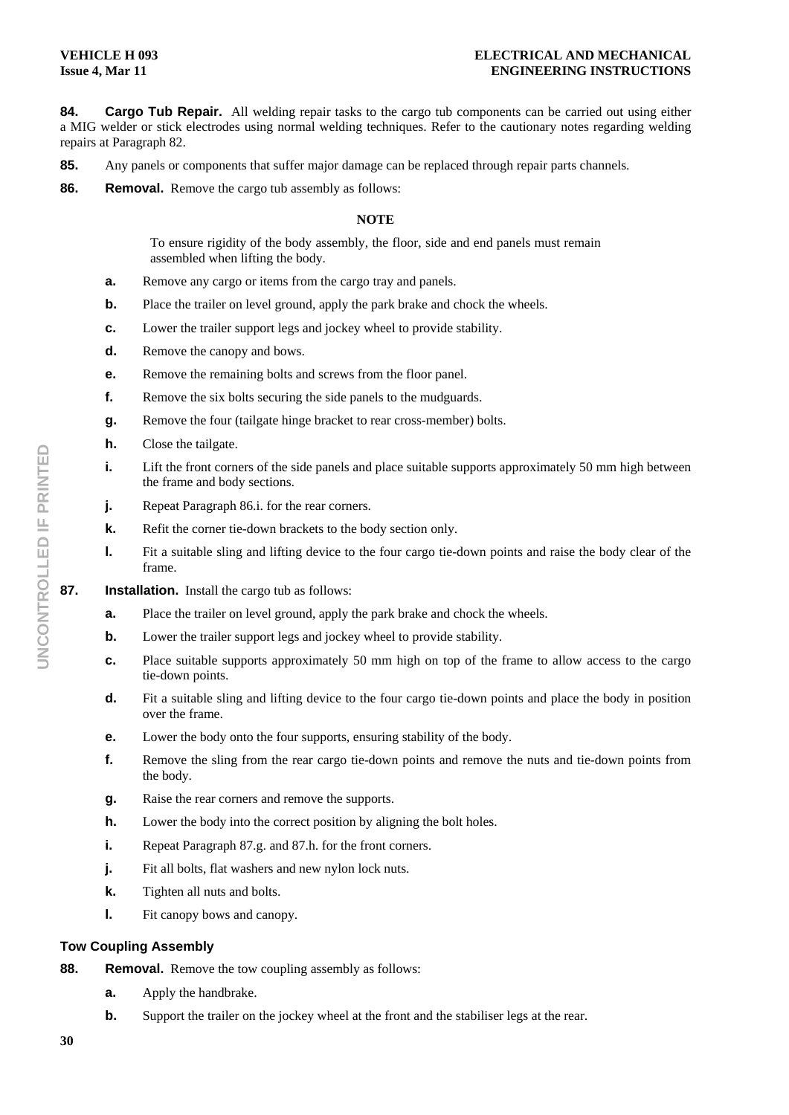**84.** Cargo Tub Repair. All welding repair tasks to the cargo tub components can be carried out using either a MIG welder or stick electrodes using normal welding techniques. Refer to the cautionary notes regarding welding repairs at Paragraph 82.

**85.** Any panels or components that suffer major damage can be replaced through repair parts channels.

**86. Removal.** Remove the cargo tub assembly as follows:

#### **NOTE**

To ensure rigidity of the body assembly, the floor, side and end panels must remain assembled when lifting the body.

- **a.** Remove any cargo or items from the cargo tray and panels.
- **b.** Place the trailer on level ground, apply the park brake and chock the wheels.
- **c.** Lower the trailer support legs and jockey wheel to provide stability.
- **d.** Remove the canopy and bows.
- **e.** Remove the remaining bolts and screws from the floor panel.
- **f.** Remove the six bolts securing the side panels to the mudguards.
- **g.** Remove the four (tailgate hinge bracket to rear cross-member) bolts.
- **h.** Close the tailgate.
- **i.** Lift the front corners of the side panels and place suitable supports approximately 50 mm high between the frame and body sections.
- **j.** Repeat Paragraph 86.i. for the rear corners.
- **k.** Refit the corner tie-down brackets to the body section only.
- **l.** Fit a suitable sling and lifting device to the four cargo tie-down points and raise the body clear of the frame.
- **87. Installation.** Install the cargo tub as follows:
	- **a.** Place the trailer on level ground, apply the park brake and chock the wheels.
	- **b.** Lower the trailer support legs and jockey wheel to provide stability.
	- **c.** Place suitable supports approximately 50 mm high on top of the frame to allow access to the cargo tie-down points.
	- **d.** Fit a suitable sling and lifting device to the four cargo tie-down points and place the body in position over the frame.
	- **e.** Lower the body onto the four supports, ensuring stability of the body.
	- **f.** Remove the sling from the rear cargo tie-down points and remove the nuts and tie-down points from the body.
	- **g.** Raise the rear corners and remove the supports.
	- **h.** Lower the body into the correct position by aligning the bolt holes.
	- **i.** Repeat Paragraph 87.g. and 87.h. for the front corners.
	- **j.** Fit all bolts, flat washers and new nylon lock nuts.
	- **k.** Tighten all nuts and bolts.
	- **l.** Fit canopy bows and canopy.

#### **Tow Coupling Assembly**

- **88.** Removal. Remove the tow coupling assembly as follows:
	- **a.** Apply the handbrake.
	- **b.** Support the trailer on the jockey wheel at the front and the stabiliser legs at the rear.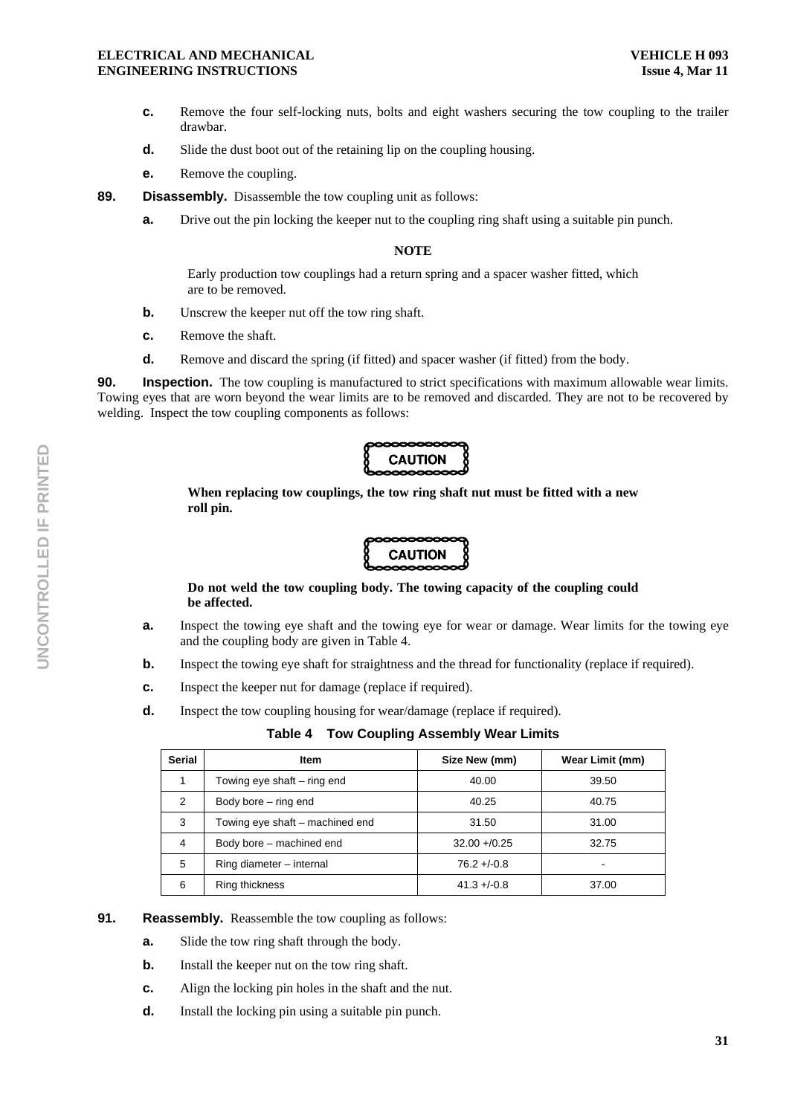- **c.** Remove the four self-locking nuts, bolts and eight washers securing the tow coupling to the trailer drawbar.
- **d.** Slide the dust boot out of the retaining lip on the coupling housing.
- **e.** Remove the coupling.
- **89. Disassembly.** Disassemble the tow coupling unit as follows:
	- **a.** Drive out the pin locking the keeper nut to the coupling ring shaft using a suitable pin punch.

#### **NOTE**

Early production tow couplings had a return spring and a spacer washer fitted, which are to be removed.

- **b.** Unscrew the keeper nut off the tow ring shaft.
- **c.** Remove the shaft.
- **d.** Remove and discard the spring (if fitted) and spacer washer (if fitted) from the body.

**90. Inspection.** The tow coupling is manufactured to strict specifications with maximum allowable wear limits. Towing eyes that are worn beyond the wear limits are to be removed and discarded. They are not to be recovered by welding. Inspect the tow coupling components as follows:



**When replacing tow couplings, the tow ring shaft nut must be fitted with a new roll pin.** 



**Do not weld the tow coupling body. The towing capacity of the coupling could be affected.** 

- **a.** Inspect the towing eye shaft and the towing eye for wear or damage. Wear limits for the towing eye and the coupling body are given in Table 4.
- **b.** Inspect the towing eye shaft for straightness and the thread for functionality (replace if required).
- **c.** Inspect the keeper nut for damage (replace if required).
- **d.** Inspect the tow coupling housing for wear/damage (replace if required).

**Table 4 Tow Coupling Assembly Wear Limits** 

| <b>Serial</b> | <b>Item</b>                     | Size New (mm)  | Wear Limit (mm) |
|---------------|---------------------------------|----------------|-----------------|
|               | Towing eye shaft – ring end     | 40.00          | 39.50           |
| 2             | Body bore – ring end            | 40.25          | 40.75           |
| 3             | Towing eye shaft – machined end | 31.50          | 31.00           |
| 4             | Body bore - machined end        | $32.00 + 0.25$ | 32.75           |
| 5             | Ring diameter - internal        | $76.2 + -0.8$  | -               |
| 6             | Ring thickness                  | $41.3 + -0.8$  | 37.00           |

- **91.** Reassembly. Reassemble the tow coupling as follows:
	- **a.** Slide the tow ring shaft through the body.
	- **b.** Install the keeper nut on the tow ring shaft.
	- **c.** Align the locking pin holes in the shaft and the nut.
	- **d.** Install the locking pin using a suitable pin punch.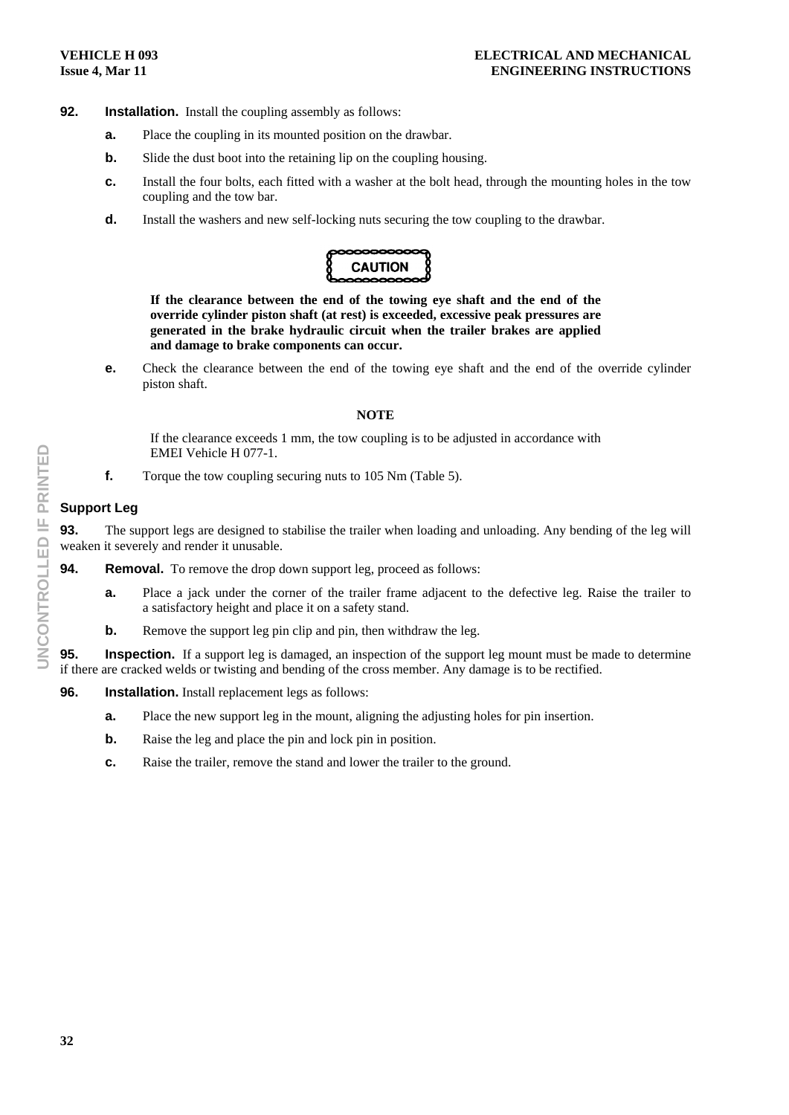- **92.** Installation. Install the coupling assembly as follows:
	- **a.** Place the coupling in its mounted position on the drawbar.
	- **b.** Slide the dust boot into the retaining lip on the coupling housing.
	- **c.** Install the four bolts, each fitted with a washer at the bolt head, through the mounting holes in the tow coupling and the tow bar.
	- **d.** Install the washers and new self-locking nuts securing the tow coupling to the drawbar.



**If the clearance between the end of the towing eye shaft and the end of the override cylinder piston shaft (at rest) is exceeded, excessive peak pressures are generated in the brake hydraulic circuit when the trailer brakes are applied and damage to brake components can occur.** 

**e.** Check the clearance between the end of the towing eye shaft and the end of the override cylinder piston shaft.

#### **NOTE**

If the clearance exceeds 1 mm, the tow coupling is to be adjusted in accordance with EMEI Vehicle H 077-1.

**f.** Torque the tow coupling securing nuts to 105 Nm (Table 5).

#### **Support Leg**

**93.** The support legs are designed to stabilise the trailer when loading and unloading. Any bending of the leg will weaken it severely and render it unusable.

**94.** Removal. To remove the drop down support leg, proceed as follows:

- **a.** Place a jack under the corner of the trailer frame adjacent to the defective leg. Raise the trailer to a satisfactory height and place it on a safety stand.
- **b.** Remove the support leg pin clip and pin, then withdraw the leg.

**95. Inspection.** If a support leg is damaged, an inspection of the support leg mount must be made to determine if there are cracked welds or twisting and bending of the cross member. Any damage is to be rectified.

**96.** Installation. Install replacement legs as follows:

- **a.** Place the new support leg in the mount, aligning the adjusting holes for pin insertion.
- **b.** Raise the leg and place the pin and lock pin in position.
- **c.** Raise the trailer, remove the stand and lower the trailer to the ground.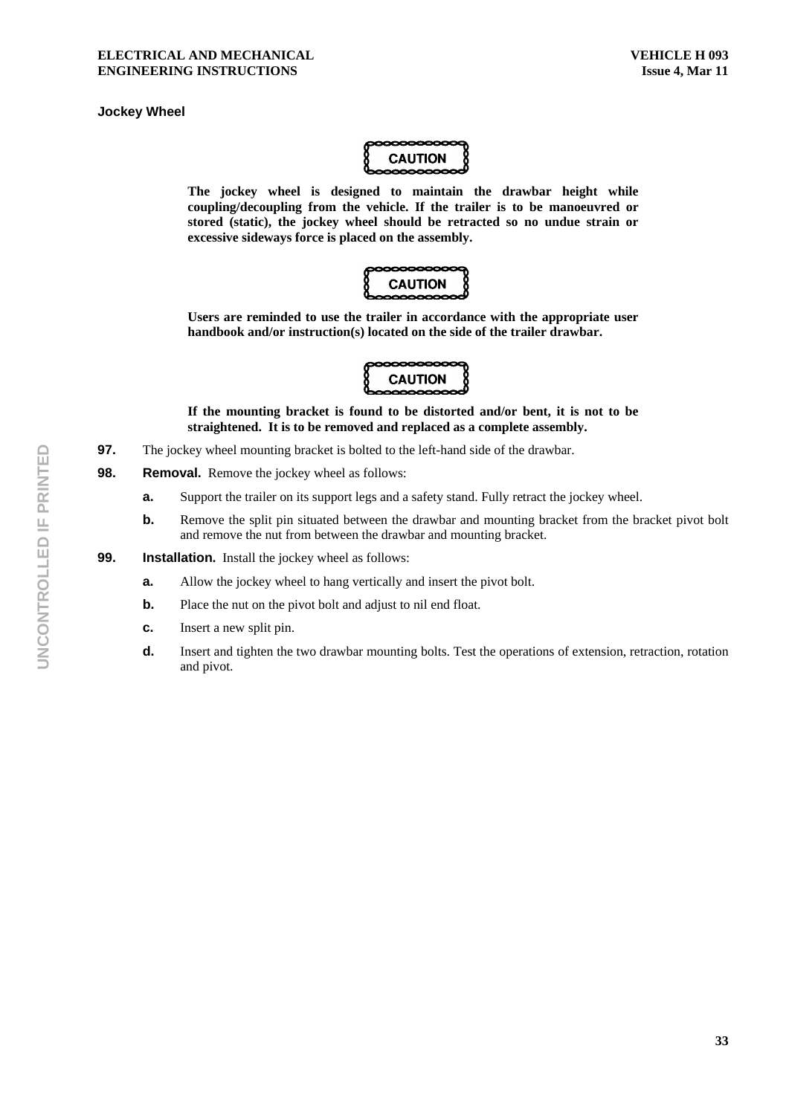#### **Jockey Wheel**



**The jockey wheel is designed to maintain the drawbar height while coupling/decoupling from the vehicle. If the trailer is to be manoeuvred or stored (static), the jockey wheel should be retracted so no undue strain or excessive sideways force is placed on the assembly.** 



**Users are reminded to use the trailer in accordance with the appropriate user handbook and/or instruction(s) located on the side of the trailer drawbar.** 



**If the mounting bracket is found to be distorted and/or bent, it is not to be straightened. It is to be removed and replaced as a complete assembly.** 

**97.** The jockey wheel mounting bracket is bolted to the left-hand side of the drawbar.

**98.** Removal. Remove the jockey wheel as follows:

- **a.** Support the trailer on its support legs and a safety stand. Fully retract the jockey wheel.
- **b.** Remove the split pin situated between the drawbar and mounting bracket from the bracket pivot bolt and remove the nut from between the drawbar and mounting bracket.

#### **99.** Installation. Install the jockey wheel as follows:

- **a.** Allow the jockey wheel to hang vertically and insert the pivot bolt.
- **b.** Place the nut on the pivot bolt and adjust to nil end float.
- **c.** Insert a new split pin.
- **d.** Insert and tighten the two drawbar mounting bolts. Test the operations of extension, retraction, rotation and pivot.